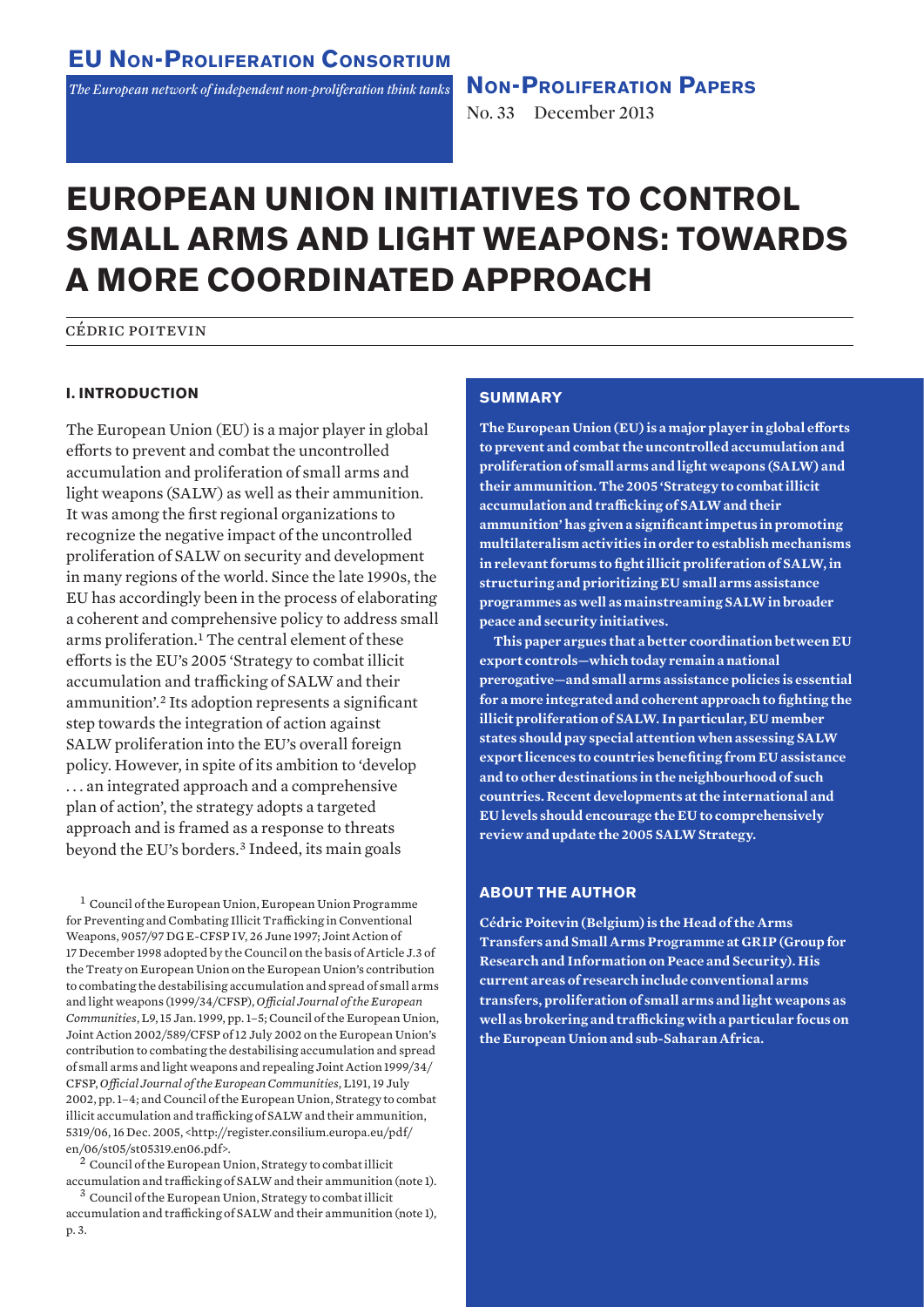*The European network of independent non-proliferation think tanks*

**Non-Proliferation Papers** No. 33 December 2013

# **EUROPEAN UNION INITIATIVES TO CONTROL SMALL ARMS AND LIGHT WEAPONS: TOWARDS A MORE COORDINATED APPROACH**

cédric poitevin

# **I. INTRODUCTION**

The European Union (EU) is a major player in global efforts to prevent and combat the uncontrolled accumulation and proliferation of small arms and light weapons (SALW) as well as their ammunition. It was among the first regional organizations to recognize the negative impact of the uncontrolled proliferation of SALW on security and development in many regions of the world. Since the late 1990s, the EU has accordingly been in the process of elaborating a coherent and comprehensive policy to address small arms proliferation.<sup>1</sup> The central element of these efforts is the EU's 2005 'Strategy to combat illicit accumulation and trafficking of SALW and their ammunition'.<sup>2</sup> Its adoption represents a significant step towards the integration of action against SALW proliferation into the EU's overall foreign policy. However, in spite of its ambition to 'develop . . . an integrated approach and a comprehensive plan of action', the strategy adopts a targeted approach and is framed as a response to threats beyond the EU's borders.<sup>3</sup> Indeed, its main goals

<sup>1</sup> Council of the European Union, European Union Programme for Preventing and Combating Illicit Trafficking in Conventional Weapons, 9057/97 DG E-CFSP IV, 26 June 1997; Joint Action of 17 December 1998 adopted by the Council on the basis of Article J.3 of the Treaty on European Union on the European Union's contribution to combating the destabilising accumulation and spread of small arms and light weapons (1999/34/CFSP), *Official Journal of the European Communities*, L9, 15 Jan. 1999, pp. 1–5; Council of the European Union, Joint Action 2002/589/CFSP of 12 July 2002 on the European Union's contribution to combating the destabilising accumulation and spread of small arms and light weapons and repealing Joint Action 1999/34/ CFSP, *Official Journal of the European Communities*, L191, 19 July 2002, pp. 1–4; and Council of the European Union, Strategy to combat illicit accumulation and trafficking of SALW and their ammunition, 5319/06, 16 Dec. 2005, <http://register.consilium.europa.eu/pdf/ en/06/st05/st05319.en06.pdf>.

 $2$  Council of the European Union, Strategy to combat illicit accumulation and trafficking of SALW and their ammunition (note 1).

<sup>3</sup> Council of the European Union, Strategy to combat illicit accumulation and trafficking of SALW and their ammunition (note 1), p. 3.

# **SUMMARY**

**The European Union (EU) is a major player in global efforts to prevent and combat the uncontrolled accumulation and proliferation of small arms and light weapons (SALW) and their ammunition. The 2005 'Strategy to combat illicit accumulation and trafficking of SALW and their ammunition' has given a significant impetus in promoting multilateralism activities in order to establish mechanisms in relevant forums to fight illicit proliferation of SALW, in structuring and prioritizing EU small arms assistance programmes as well as mainstreaming SALW in broader peace and security initiatives.** 

**This paper argues that a better coordination between EU export controls—which today remain a national prerogative—and small arms assistance policies is essential for a more integrated and coherent approach to fighting the illicit proliferation of SALW. In particular, EU member states should pay special attention when assessing SALW export licences to countries benefiting from EU assistance and to other destinations in the neighbourhood of such countries. Recent developments at the international and EU levels should encourage the EU to comprehensively review and update the 2005 SALW Strategy.**

# **ABOUT THE AUTHOR**

**Cédric Poitevin (Belgium) is the Head of the Arms Transfers and Small Arms Programme at GRIP (Group for Research and Information on Peace and Security). His current areas of research include conventional arms transfers, proliferation of small arms and light weapons as well as brokering and trafficking with a particular focus on the European Union and sub-Saharan Africa.**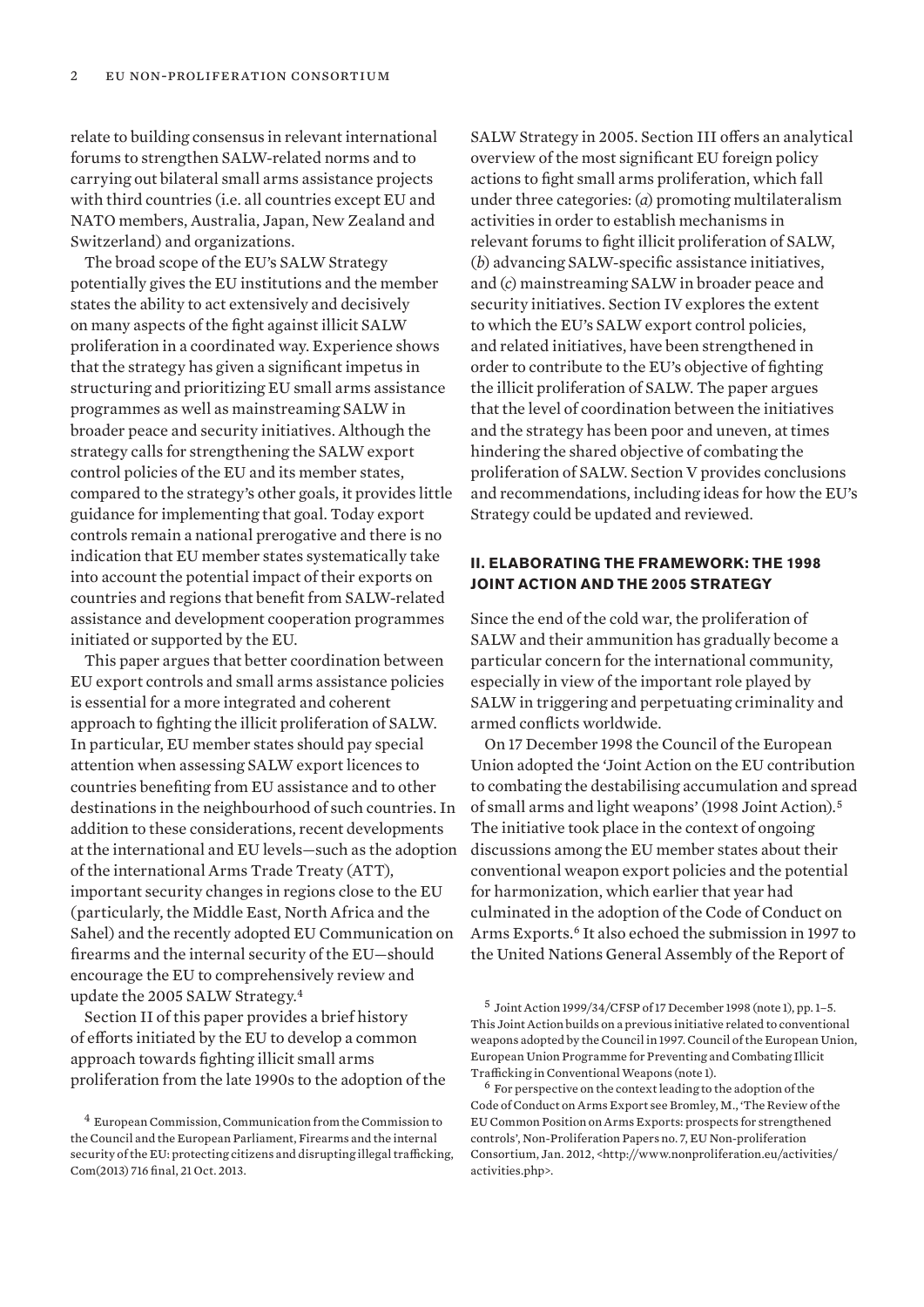relate to building consensus in relevant international forums to strengthen SALW-related norms and to carrying out bilateral small arms assistance projects with third countries (i.e. all countries except EU and NATO members, Australia, Japan, New Zealand and Switzerland) and organizations.

The broad scope of the EU's SALW Strategy potentially gives the EU institutions and the member states the ability to act extensively and decisively on many aspects of the fight against illicit SALW proliferation in a coordinated way. Experience shows that the strategy has given a significant impetus in structuring and prioritizing EU small arms assistance programmes as well as mainstreaming SALW in broader peace and security initiatives. Although the strategy calls for strengthening the SALW export control policies of the EU and its member states, compared to the strategy's other goals, it provides little guidance for implementing that goal. Today export controls remain a national prerogative and there is no indication that EU member states systematically take into account the potential impact of their exports on countries and regions that benefit from SALW-related assistance and development cooperation programmes initiated or supported by the EU.

This paper argues that better coordination between EU export controls and small arms assistance policies is essential for a more integrated and coherent approach to fighting the illicit proliferation of SALW. In particular, EU member states should pay special attention when assessing SALW export licences to countries benefiting from EU assistance and to other destinations in the neighbourhood of such countries. In addition to these considerations, recent developments at the international and EU levels—such as the adoption of the international Arms Trade Treaty (ATT), important security changes in regions close to the EU (particularly, the Middle East, North Africa and the Sahel) and the recently adopted EU Communication on firearms and the internal security of the EU—should encourage the EU to comprehensively review and update the 2005 SALW Strategy.<sup>4</sup>

Section II of this paper provides a brief history of efforts initiated by the EU to develop a common approach towards fighting illicit small arms proliferation from the late 1990s to the adoption of the

SALW Strategy in 2005. Section III offers an analytical overview of the most significant EU foreign policy actions to fight small arms proliferation, which fall under three categories: (*a*) promoting multilateralism activities in order to establish mechanisms in relevant forums to fight illicit proliferation of SALW, (*b*) advancing SALW-specific assistance initiatives, and (*c*) mainstreaming SALW in broader peace and security initiatives. Section IV explores the extent to which the EU's SALW export control policies, and related initiatives, have been strengthened in order to contribute to the EU's objective of fighting the illicit proliferation of SALW. The paper argues that the level of coordination between the initiatives and the strategy has been poor and uneven, at times hindering the shared objective of combating the proliferation of SALW. Section V provides conclusions and recommendations, including ideas for how the EU's Strategy could be updated and reviewed.

#### **II. ELABORATING THE FRAMEWORK: THE 1998 JOINT ACTION AND THE 2005 STRATEGY**

Since the end of the cold war, the proliferation of SALW and their ammunition has gradually become a particular concern for the international community, especially in view of the important role played by SALW in triggering and perpetuating criminality and armed conflicts worldwide.

On 17 December 1998 the Council of the European Union adopted the 'Joint Action on the EU contribution to combating the destabilising accumulation and spread of small arms and light weapons' (1998 Joint Action).<sup>5</sup> The initiative took place in the context of ongoing discussions among the EU member states about their conventional weapon export policies and the potential for harmonization, which earlier that year had culminated in the adoption of the Code of Conduct on Arms Exports.<sup>6</sup> It also echoed the submission in 1997 to the United Nations General Assembly of the Report of

<sup>4</sup> European Commission, Communication from the Commission to the Council and the European Parliament, Firearms and the internal security of the EU: protecting citizens and disrupting illegal trafficking, Com(2013) 716 final, 21 Oct. 2013.

<sup>5</sup> Joint Action 1999/34/CFSP of 17 December 1998 (note 1), pp. 1–5. This Joint Action builds on a previous initiative related to conventional weapons adopted by the Council in 1997. Council of the European Union, European Union Programme for Preventing and Combating Illicit Trafficking in Conventional Weapons (note 1).

<sup>&</sup>lt;sup>6</sup> For perspective on the context leading to the adoption of the Code of Conduct on Arms Export see Bromley, M., 'The Review of the EU Common Position on Arms Exports: prospects for strengthened controls', Non-Proliferation Papers no. 7, EU Non-proliferation Consortium, Jan. 2012, <http://www.nonproliferation.eu/activities/ activities.php>.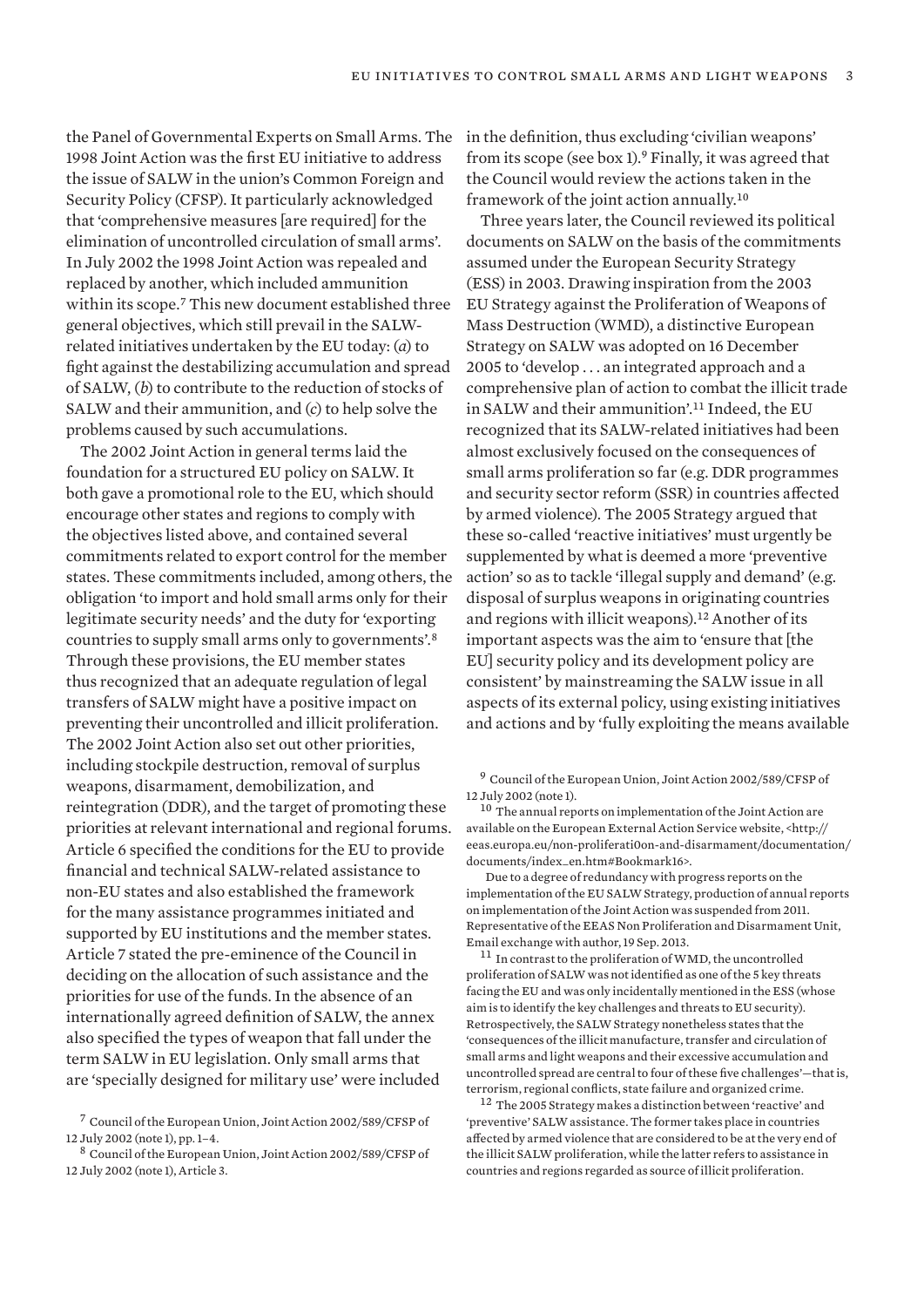the Panel of Governmental Experts on Small Arms. The 1998 Joint Action was the first EU initiative to address the issue of SALW in the union's Common Foreign and Security Policy (CFSP). It particularly acknowledged that 'comprehensive measures [are required] for the elimination of uncontrolled circulation of small arms'. In July 2002 the 1998 Joint Action was repealed and replaced by another, which included ammunition within its scope.<sup>7</sup> This new document established three general objectives, which still prevail in the SALWrelated initiatives undertaken by the EU today: (*a*) to fight against the destabilizing accumulation and spread of SALW, (*b*) to contribute to the reduction of stocks of SALW and their ammunition, and (*c*) to help solve the problems caused by such accumulations.

The 2002 Joint Action in general terms laid the foundation for a structured EU policy on SALW. It both gave a promotional role to the EU, which should encourage other states and regions to comply with the objectives listed above, and contained several commitments related to export control for the member states. These commitments included, among others, the obligation 'to import and hold small arms only for their legitimate security needs' and the duty for 'exporting countries to supply small arms only to governments'.<sup>8</sup> Through these provisions, the EU member states thus recognized that an adequate regulation of legal transfers of SALW might have a positive impact on preventing their uncontrolled and illicit proliferation. The 2002 Joint Action also set out other priorities, including stockpile destruction, removal of surplus weapons, disarmament, demobilization, and reintegration (DDR), and the target of promoting these priorities at relevant international and regional forums. Article 6 specified the conditions for the EU to provide financial and technical SALW-related assistance to non-EU states and also established the framework for the many assistance programmes initiated and supported by EU institutions and the member states. Article 7 stated the pre-eminence of the Council in deciding on the allocation of such assistance and the priorities for use of the funds. In the absence of an internationally agreed definition of SALW, the annex also specified the types of weapon that fall under the term SALW in EU legislation. Only small arms that are 'specially designed for military use' were included

in the definition, thus excluding 'civilian weapons' from its scope (see box 1).<sup>9</sup> Finally, it was agreed that the Council would review the actions taken in the framework of the joint action annually.<sup>10</sup>

Three years later, the Council reviewed its political documents on SALW on the basis of the commitments assumed under the European Security Strategy (ESS) in 2003. Drawing inspiration from the 2003 EU Strategy against the Proliferation of Weapons of Mass Destruction (WMD), a distinctive European Strategy on SALW was adopted on 16 December 2005 to 'develop . . . an integrated approach and a comprehensive plan of action to combat the illicit trade in SALW and their ammunition'.<sup>11</sup> Indeed, the EU recognized that its SALW-related initiatives had been almost exclusively focused on the consequences of small arms proliferation so far (e.g. DDR programmes and security sector reform (SSR) in countries affected by armed violence). The 2005 Strategy argued that these so-called 'reactive initiatives' must urgently be supplemented by what is deemed a more 'preventive action' so as to tackle 'illegal supply and demand' (e.g. disposal of surplus weapons in originating countries and regions with illicit weapons).<sup>12</sup> Another of its important aspects was the aim to 'ensure that [the EU] security policy and its development policy are consistent' by mainstreaming the SALW issue in all aspects of its external policy, using existing initiatives and actions and by 'fully exploiting the means available

<sup>9</sup> Council of the European Union, Joint Action 2002/589/CFSP of 12 July 2002 (note 1).

 $10$  The annual reports on implementation of the Joint Action are available on the European External Action Service website, <http:// eeas.europa.eu/non-proliferati0on-and-disarmament/documentation/ documents/index\_en.htm#Bookmark16>. Due to a degree of redundancy with progress reports on the

implementation of the EU SALW Strategy, production of annual reports on implementation of the Joint Action was suspended from 2011. Representative of the EEAS Non Proliferation and Disarmament Unit, Email exchange with author, 19 Sep. 2013.

<sup>11</sup> In contrast to the proliferation of WMD, the uncontrolled proliferation of SALW was not identified as one of the 5 key threats facing the EU and was only incidentally mentioned in the ESS (whose aim is to identify the key challenges and threats to EU security). Retrospectively, the SALW Strategy nonetheless states that the 'consequences of the illicit manufacture, transfer and circulation of small arms and light weapons and their excessive accumulation and uncontrolled spread are central to four of these five challenges'—that is, terrorism, regional conflicts, state failure and organized crime.

<sup>12</sup> The 2005 Strategy makes a distinction between 'reactive' and 'preventive' SALW assistance. The former takes place in countries affected by armed violence that are considered to be at the very end of the illicit SALW proliferation, while the latter refers to assistance in countries and regions regarded as source of illicit proliferation.

<sup>7</sup> Council of the European Union, Joint Action 2002/589/CFSP of 12 July 2002 (note 1), pp. 1–4.

<sup>8</sup> Council of the European Union, Joint Action 2002/589/CFSP of 12 July 2002 (note 1), Article 3.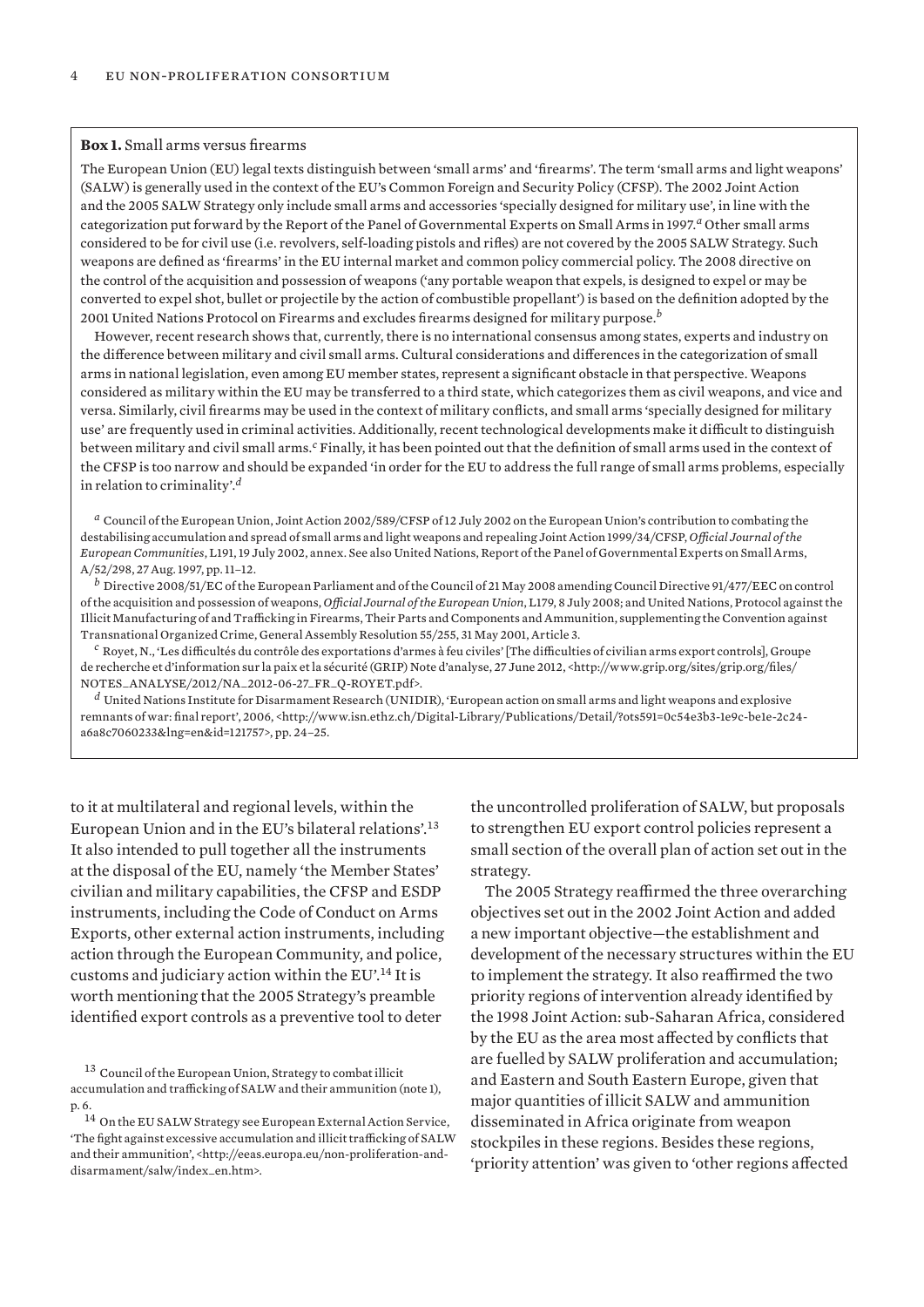#### **Box 1.** Small arms versus firearms

The European Union (EU) legal texts distinguish between 'small arms' and 'firearms'. The term 'small arms and light weapons' (SALW) is generally used in the context of the EU's Common Foreign and Security Policy (CFSP). The 2002 Joint Action and the 2005 SALW Strategy only include small arms and accessories 'specially designed for military use', in line with the categorization put forward by the Report of the Panel of Governmental Experts on Small Arms in 1997.*a* Other small arms considered to be for civil use (i.e. revolvers, self-loading pistols and rifles) are not covered by the 2005 SALW Strategy. Such weapons are defined as 'firearms' in the EU internal market and common policy commercial policy. The 2008 directive on the control of the acquisition and possession of weapons ('any portable weapon that expels, is designed to expel or may be converted to expel shot, bullet or projectile by the action of combustible propellant') is based on the definition adopted by the 2001 United Nations Protocol on Firearms and excludes firearms designed for military purpose.*<sup>b</sup>*

However, recent research shows that, currently, there is no international consensus among states, experts and industry on the difference between military and civil small arms. Cultural considerations and differences in the categorization of small arms in national legislation, even among EU member states, represent a significant obstacle in that perspective. Weapons considered as military within the EU may be transferred to a third state, which categorizes them as civil weapons, and vice and versa. Similarly, civil firearms may be used in the context of military conflicts, and small arms 'specially designed for military use' are frequently used in criminal activities. Additionally, recent technological developments make it difficult to distinguish between military and civil small arms.*c* Finally, it has been pointed out that the definition of small arms used in the context of the CFSP is too narrow and should be expanded 'in order for the EU to address the full range of small arms problems, especially in relation to criminality'.*<sup>d</sup>*

*<sup>a</sup>* Council of the European Union, Joint Action 2002/589/CFSP of 12 July 2002 on the European Union's contribution to combating the destabilising accumulation and spread of small arms and light weapons and repealing Joint Action 1999/34/CFSP, *Official Journal of the European Communities*, L191, 19 July 2002, annex. See also United Nations, Report of the Panel of Governmental Experts on Small Arms, A/52/298, 27 Aug. 1997, pp. 11–12.

*<sup>b</sup>* Directive 2008/51/EC of the European Parliament and of the Council of 21 May 2008 amending Council Directive 91/477/EEC on control of the acquisition and possession of weapons, *Official Journal of the European Union*, L179, 8 July 2008; and United Nations, Protocol against the Illicit Manufacturing of and Trafficking in Firearms, Their Parts and Components and Ammunition, supplementing the Convention against Transnational Organized Crime, General Assembly Resolution 55/255, 31 May 2001, Article 3.

*<sup>c</sup>* Royet, N., 'Les difficultés du contrôle des exportations d'armes à feu civiles' [The difficulties of civilian arms export controls], Groupe de recherche et d'information sur la paix et la sécurité (GRIP) Note d'analyse, 27 June 2012, <http://www.grip.org/sites/grip.org/files/ NOTES\_ANALYSE/2012/NA\_2012-06-27\_FR\_Q-ROYET.pdf>.

*<sup>d</sup>* United Nations Institute for Disarmament Research (UNIDIR), 'European action on small arms and light weapons and explosive remnants of war: final report', 2006, <http://www.isn.ethz.ch/Digital-Library/Publications/Detail/?ots591=0c54e3b3-1e9c-be1e-2c24a6a8c7060233&lng=en&id=121757>, pp. 24–25.

to it at multilateral and regional levels, within the European Union and in the EU's bilateral relations'.<sup>13</sup> It also intended to pull together all the instruments at the disposal of the EU, namely 'the Member States' civilian and military capabilities, the CFSP and ESDP instruments, including the Code of Conduct on Arms Exports, other external action instruments, including action through the European Community, and police, customs and judiciary action within the EU'.<sup>14</sup> It is worth mentioning that the 2005 Strategy's preamble identified export controls as a preventive tool to deter

<sup>13</sup> Council of the European Union, Strategy to combat illicit accumulation and trafficking of SALW and their ammunition (note 1), p. 6.

 $^{14}$  On the EU SALW Strategy see European External Action Service, 'The fight against excessive accumulation and illicit trafficking of SALW and their ammunition', <http://eeas.europa.eu/non-proliferation-anddisarmament/salw/index\_en.htm>.

the uncontrolled proliferation of SALW, but proposals to strengthen EU export control policies represent a small section of the overall plan of action set out in the strategy.

The 2005 Strategy reaffirmed the three overarching objectives set out in the 2002 Joint Action and added a new important objective—the establishment and development of the necessary structures within the EU to implement the strategy. It also reaffirmed the two priority regions of intervention already identified by the 1998 Joint Action: sub-Saharan Africa, considered by the EU as the area most affected by conflicts that are fuelled by SALW proliferation and accumulation; and Eastern and South Eastern Europe, given that major quantities of illicit SALW and ammunition disseminated in Africa originate from weapon stockpiles in these regions. Besides these regions, 'priority attention' was given to 'other regions affected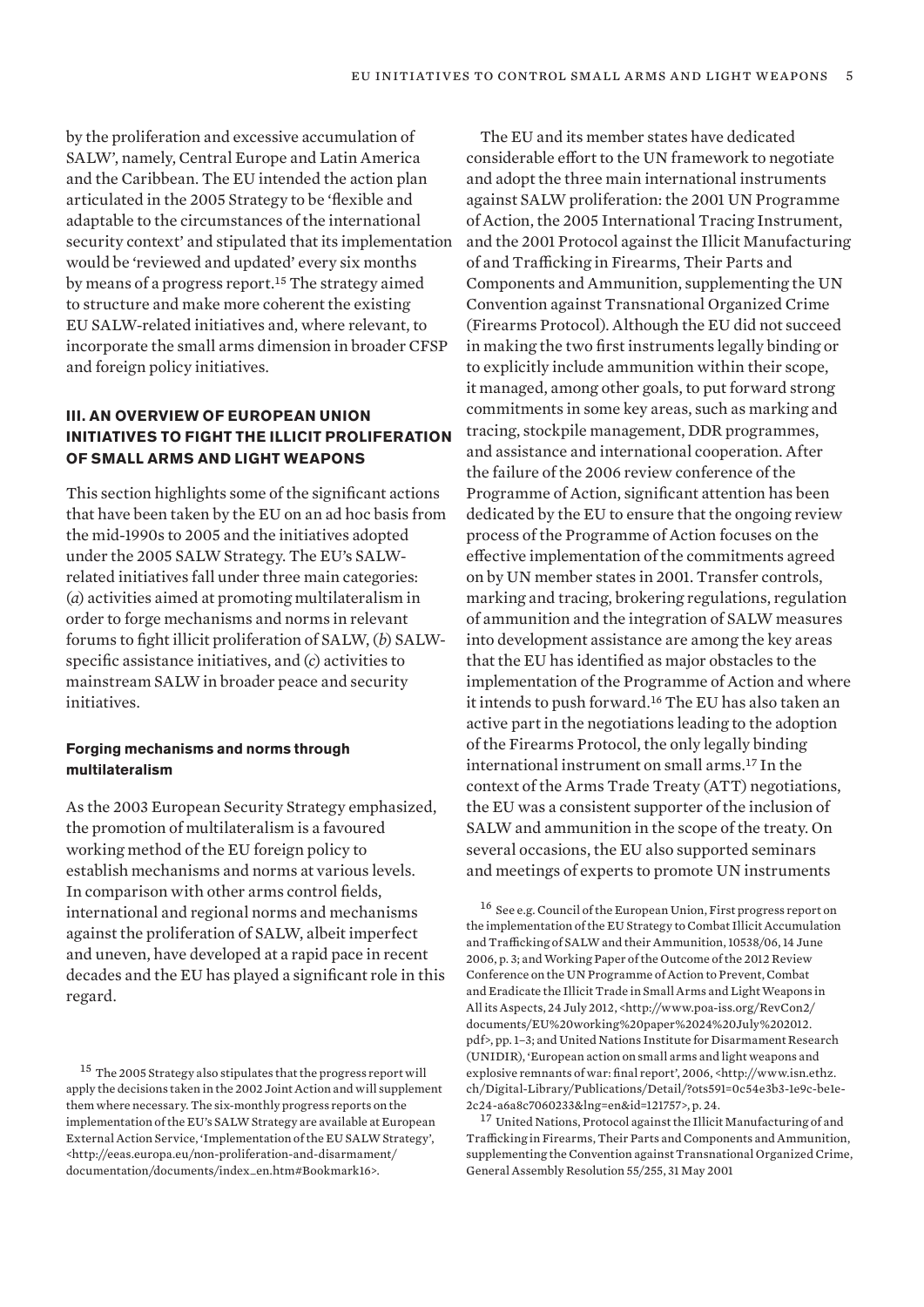by the proliferation and excessive accumulation of SALW', namely, Central Europe and Latin America and the Caribbean. The EU intended the action plan articulated in the 2005 Strategy to be 'flexible and adaptable to the circumstances of the international security context' and stipulated that its implementation would be 'reviewed and updated' every six months by means of a progress report.<sup>15</sup> The strategy aimed to structure and make more coherent the existing EU SALW-related initiatives and, where relevant, to incorporate the small arms dimension in broader CFSP and foreign policy initiatives.

# **III. AN OVERVIEW OF EUROPEAN UNION INITIATIVES TO FIGHT THE ILLICIT PROLIFERATION OF SMALL ARMS AND LIGHT WEAPONS**

This section highlights some of the significant actions that have been taken by the EU on an ad hoc basis from the mid-1990s to 2005 and the initiatives adopted under the 2005 SALW Strategy. The EU's SALWrelated initiatives fall under three main categories: (*a*) activities aimed at promoting multilateralism in order to forge mechanisms and norms in relevant forums to fight illicit proliferation of SALW, (*b*) SALWspecific assistance initiatives, and (*c*) activities to mainstream SALW in broader peace and security initiatives.

#### **Forging mechanisms and norms through multilateralism**

As the 2003 European Security Strategy emphasized, the promotion of multilateralism is a favoured working method of the EU foreign policy to establish mechanisms and norms at various levels. In comparison with other arms control fields, international and regional norms and mechanisms against the proliferation of SALW, albeit imperfect and uneven, have developed at a rapid pace in recent decades and the EU has played a significant role in this regard.

The EU and its member states have dedicated considerable effort to the UN framework to negotiate and adopt the three main international instruments against SALW proliferation: the 2001 UN Programme of Action, the 2005 International Tracing Instrument, and the 2001 Protocol against the Illicit Manufacturing of and Trafficking in Firearms, Their Parts and Components and Ammunition, supplementing the UN Convention against Transnational Organized Crime (Firearms Protocol). Although the EU did not succeed in making the two first instruments legally binding or to explicitly include ammunition within their scope, it managed, among other goals, to put forward strong commitments in some key areas, such as marking and tracing, stockpile management, DDR programmes, and assistance and international cooperation. After the failure of the 2006 review conference of the Programme of Action, significant attention has been dedicated by the EU to ensure that the ongoing review process of the Programme of Action focuses on the effective implementation of the commitments agreed on by UN member states in 2001. Transfer controls, marking and tracing, brokering regulations, regulation of ammunition and the integration of SALW measures into development assistance are among the key areas that the EU has identified as major obstacles to the implementation of the Programme of Action and where it intends to push forward.<sup>16</sup> The EU has also taken an active part in the negotiations leading to the adoption of the Firearms Protocol, the only legally binding international instrument on small arms.<sup>17</sup> In the context of the Arms Trade Treaty (ATT) negotiations, the EU was a consistent supporter of the inclusion of SALW and ammunition in the scope of the treaty. On several occasions, the EU also supported seminars and meetings of experts to promote UN instruments

<sup>16</sup> See e.g. Council of the European Union, First progress report on the implementation of the EU Strategy to Combat Illicit Accumulation and Trafficking of SALW and their Ammunition, 10538/06, 14 June 2006, p. 3; and Working Paper of the Outcome of the 2012 Review Conference on the UN Programme of Action to Prevent, Combat and Eradicate the Illicit Trade in Small Arms and Light Weapons in All its Aspects, 24 July 2012, <http://www.poa-iss.org/RevCon2/ documents/EU%20working%20paper%2024%20July%202012. pdf>, pp. 1–3; and United Nations Institute for Disarmament Research (UNIDIR), 'European action on small arms and light weapons and explosive remnants of war: final report', 2006, <http://www.isn.ethz. ch/Digital-Library/Publications/Detail/?ots591=0c54e3b3-1e9c-be1e-2c24-a6a8c7060233&lng=en&id=121757>, p. 24.

 $^{17}$ United Nations, Protocol against the Illicit Manufacturing of and Trafficking in Firearms, Their Parts and Components and Ammunition, supplementing the Convention against Transnational Organized Crime, General Assembly Resolution 55/255, 31 May 2001

<sup>&</sup>lt;sup>15</sup> The 2005 Strategy also stipulates that the progress report will apply the decisions taken in the 2002 Joint Action and will supplement them where necessary. The six-monthly progress reports on the implementation of the EU's SALW Strategy are available at European External Action Service, 'Implementation of the EU SALW Strategy', <http://eeas.europa.eu/non-proliferation-and-disarmament/ documentation/documents/index\_en.htm#Bookmark16>.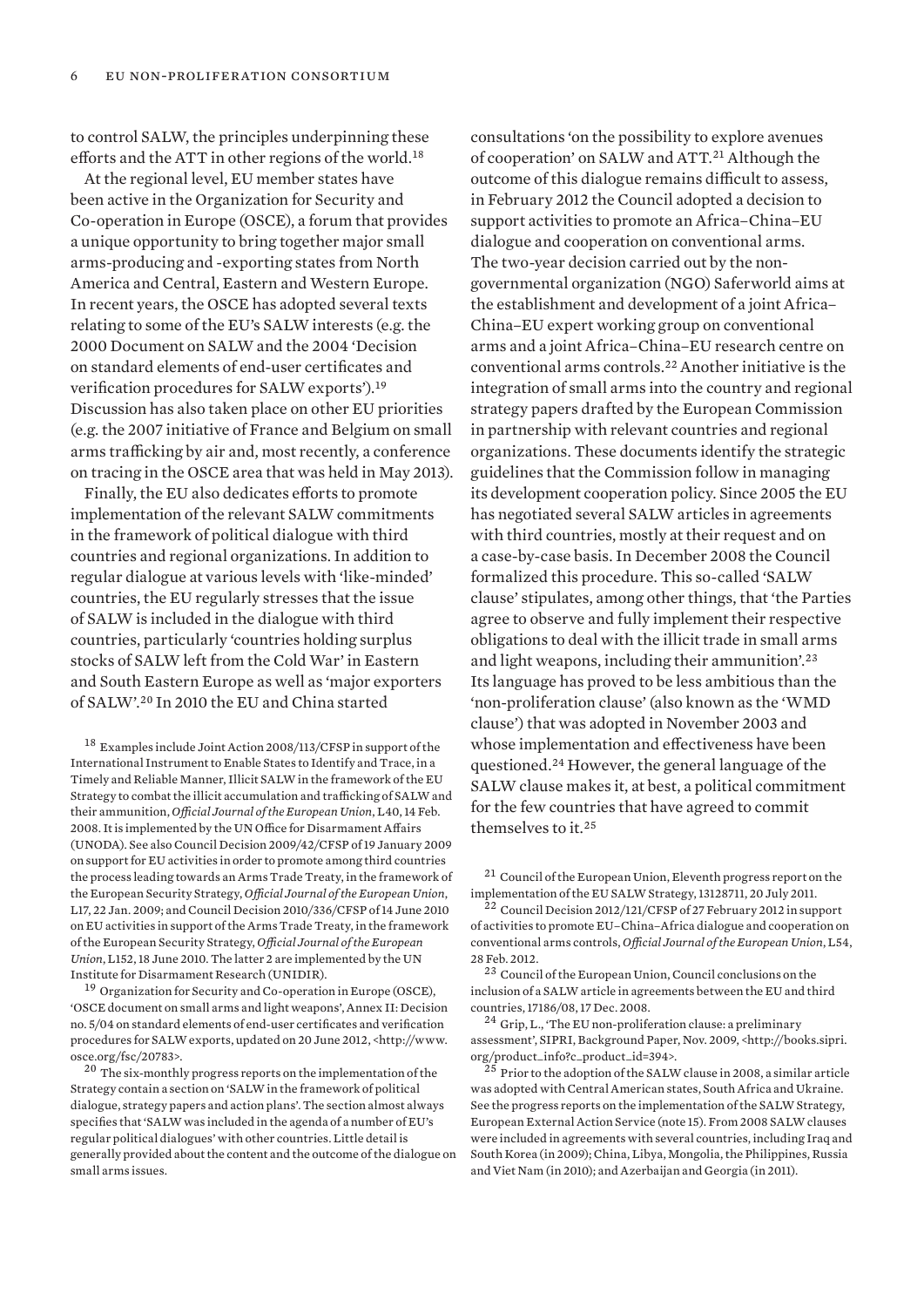to control SALW, the principles underpinning these efforts and the ATT in other regions of the world.<sup>18</sup>

At the regional level, EU member states have been active in the Organization for Security and Co-operation in Europe (OSCE), a forum that provides a unique opportunity to bring together major small arms-producing and -exporting states from North America and Central, Eastern and Western Europe. In recent years, the OSCE has adopted several texts relating to some of the EU's SALW interests (e.g. the 2000 Document on SALW and the 2004 'Decision on standard elements of end-user certificates and verification procedures for SALW exports').<sup>19</sup> Discussion has also taken place on other EU priorities (e.g. the 2007 initiative of France and Belgium on small arms trafficking by air and, most recently, a conference on tracing in the OSCE area that was held in May 2013).

Finally, the EU also dedicates efforts to promote implementation of the relevant SALW commitments in the framework of political dialogue with third countries and regional organizations. In addition to regular dialogue at various levels with 'like-minded' countries, the EU regularly stresses that the issue of SALW is included in the dialogue with third countries, particularly 'countries holding surplus stocks of SALW left from the Cold War' in Eastern and South Eastern Europe as well as 'major exporters of SALW'.<sup>20</sup> In 2010 the EU and China started

<sup>18</sup> Examples include Joint Action 2008/113/CFSP in support of the International Instrument to Enable States to Identify and Trace, in a Timely and Reliable Manner, Illicit SALW in the framework of the EU Strategy to combat the illicit accumulation and trafficking of SALW and their ammunition, *Official Journal of the European Union*, L40, 14 Feb. 2008. It is implemented by the UN Office for Disarmament Affairs (UNODA). See also Council Decision 2009/42/CFSP of 19 January 2009 on support for EU activities in order to promote among third countries the process leading towards an Arms Trade Treaty, in the framework of the European Security Strategy, *Official Journal of the European Union*, L17, 22 Jan. 2009; and Council Decision 2010/336/CFSP of 14 June 2010 on EU activities in support of the Arms Trade Treaty, in the framework of the European Security Strategy, *Official Journal of the European Union*, L152, 18 June 2010. The latter 2 are implemented by the UN Institute for Disarmament Research (UNIDIR).

<sup>19</sup> Organization for Security and Co-operation in Europe (OSCE), 'OSCE document on small arms and light weapons', Annex II: Decision no. 5/04 on standard elements of end-user certificates and verification procedures for SALW exports, updated on 20 June 2012, <http://www. osce.org/fsc/20783>.

<sup>20</sup> The six-monthly progress reports on the implementation of the Strategy contain a section on 'SALW in the framework of political dialogue, strategy papers and action plans'. The section almost always specifies that 'SALW was included in the agenda of a number of EU's regular political dialogues' with other countries. Little detail is generally provided about the content and the outcome of the dialogue on small arms issues.

consultations 'on the possibility to explore avenues of cooperation' on SALW and ATT.<sup>21</sup> Although the outcome of this dialogue remains difficult to assess, in February 2012 the Council adopted a decision to support activities to promote an Africa–China–EU dialogue and cooperation on conventional arms. The two-year decision carried out by the nongovernmental organization (NGO) Saferworld aims at the establishment and development of a joint Africa– China–EU expert working group on conventional arms and a joint Africa–China–EU research centre on conventional arms controls.<sup>22</sup> Another initiative is the integration of small arms into the country and regional strategy papers drafted by the European Commission in partnership with relevant countries and regional organizations. These documents identify the strategic guidelines that the Commission follow in managing its development cooperation policy. Since 2005 the EU has negotiated several SALW articles in agreements with third countries, mostly at their request and on a case-by-case basis. In December 2008 the Council formalized this procedure. This so-called 'SALW clause' stipulates, among other things, that 'the Parties agree to observe and fully implement their respective obligations to deal with the illicit trade in small arms and light weapons, including their ammunition'.<sup>23</sup> Its language has proved to be less ambitious than the 'non-proliferation clause' (also known as the 'WMD clause') that was adopted in November 2003 and whose implementation and effectiveness have been questioned.<sup>24</sup> However, the general language of the SALW clause makes it, at best, a political commitment for the few countries that have agreed to commit themselves to it.<sup>25</sup>

<sup>22</sup> Council Decision 2012/121/CFSP of 27 February 2012 in support of activities to promote EU–China–Africa dialogue and cooperation on conventional arms controls, *Official Journal of the European Union*, L54, 28 Feb. 2012.

<sup>23</sup> Council of the European Union, Council conclusions on the inclusion of a SALW article in agreements between the EU and third countries, 17186/08, 17 Dec. 2008.

 $24$  Grip, L., 'The EU non-proliferation clause: a preliminary assessment', SIPRI, Background Paper, Nov. 2009, <http://books.sipri. org/product\_info?c\_product\_id=394>.

 $^{25}$  Prior to the adoption of the SALW clause in 2008, a similar article was adopted with Central American states, South Africa and Ukraine. See the progress reports on the implementation of the SALW Strategy, European External Action Service (note 15). From 2008 SALW clauses were included in agreements with several countries, including Iraq and South Korea (in 2009); China, Libya, Mongolia, the Philippines, Russia and Viet Nam (in 2010); and Azerbaijan and Georgia (in 2011).

<sup>21</sup> Council of the European Union, Eleventh progress report on the implementation of the EU SALW Strategy, 13128711, 20 July 2011.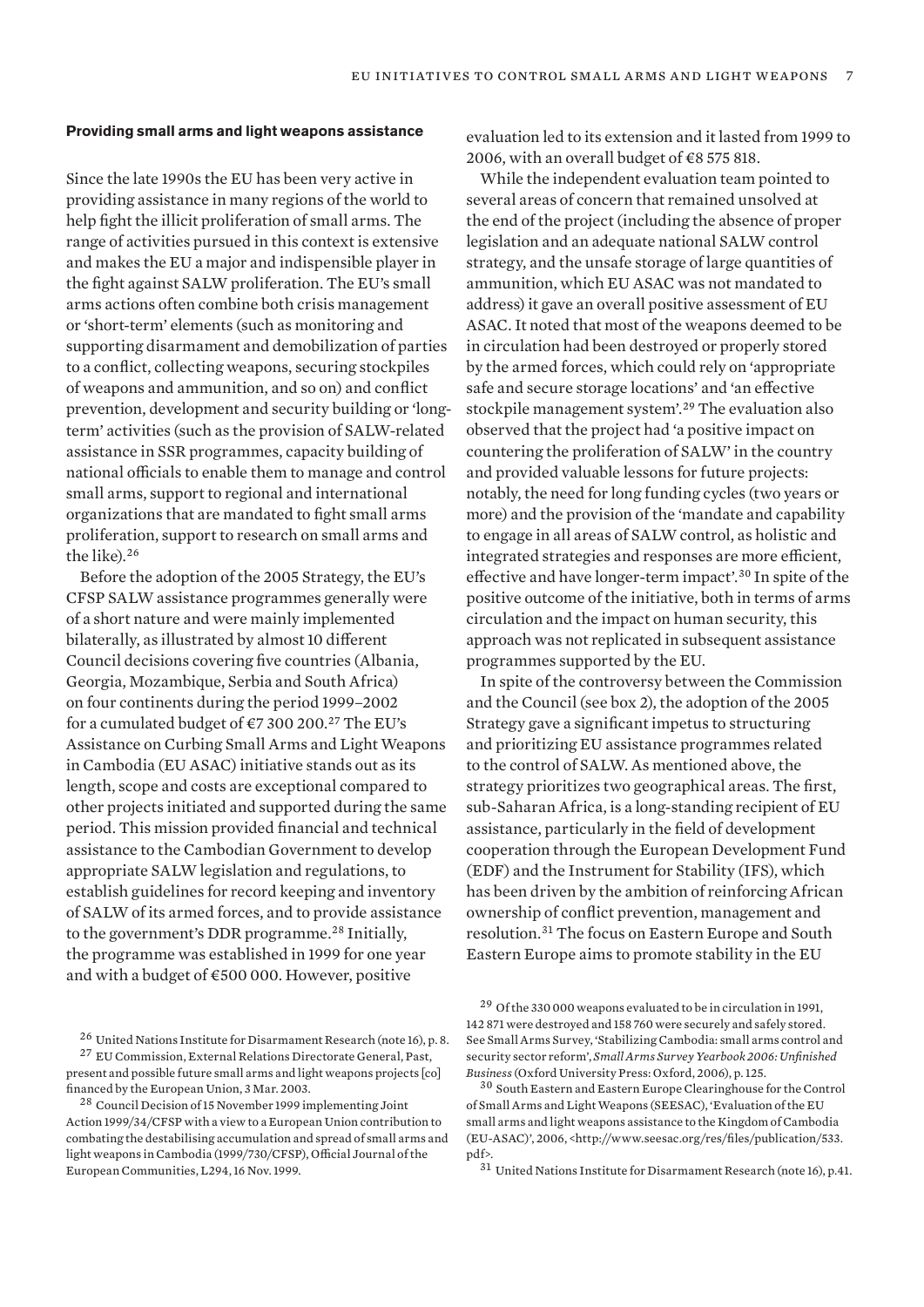#### **Providing small arms and light weapons assistance**

Since the late 1990s the EU has been very active in providing assistance in many regions of the world to help fight the illicit proliferation of small arms. The range of activities pursued in this context is extensive and makes the EU a major and indispensible player in the fight against SALW proliferation. The EU's small arms actions often combine both crisis management or 'short-term' elements (such as monitoring and supporting disarmament and demobilization of parties to a conflict, collecting weapons, securing stockpiles of weapons and ammunition, and so on) and conflict prevention, development and security building or 'longterm' activities (such as the provision of SALW-related assistance in SSR programmes, capacity building of national officials to enable them to manage and control small arms, support to regional and international organizations that are mandated to fight small arms proliferation, support to research on small arms and the like).<sup>26</sup>

Before the adoption of the 2005 Strategy, the EU's CFSP SALW assistance programmes generally were of a short nature and were mainly implemented bilaterally, as illustrated by almost 10 different Council decisions covering five countries (Albania, Georgia, Mozambique, Serbia and South Africa) on four continents during the period 1999–2002 for a cumulated budget of  $\text{\textsterling}7300200$ .<sup>27</sup> The EU's Assistance on Curbing Small Arms and Light Weapons in Cambodia (EU ASAC) initiative stands out as its length, scope and costs are exceptional compared to other projects initiated and supported during the same period. This mission provided financial and technical assistance to the Cambodian Government to develop appropriate SALW legislation and regulations, to establish guidelines for record keeping and inventory of SALW of its armed forces, and to provide assistance to the government's DDR programme.<sup>28</sup> Initially, the programme was established in 1999 for one year and with a budget of €500 000. However, positive

<sup>26</sup> United Nations Institute for Disarmament Research (note 16), p. 8.

 $^{27}$  EU Commission, External Relations Directorate General, Past, present and possible future small arms and light weapons projects [co] financed by the European Union, 3 Mar. 2003.

evaluation led to its extension and it lasted from 1999 to 2006, with an overall budget of  $\text{\textsterling}8$  575 818.

While the independent evaluation team pointed to several areas of concern that remained unsolved at the end of the project (including the absence of proper legislation and an adequate national SALW control strategy, and the unsafe storage of large quantities of ammunition, which EU ASAC was not mandated to address) it gave an overall positive assessment of EU ASAC. It noted that most of the weapons deemed to be in circulation had been destroyed or properly stored by the armed forces, which could rely on 'appropriate safe and secure storage locations' and 'an effective stockpile management system'.<sup>29</sup> The evaluation also observed that the project had 'a positive impact on countering the proliferation of SALW' in the country and provided valuable lessons for future projects: notably, the need for long funding cycles (two years or more) and the provision of the 'mandate and capability to engage in all areas of SALW control, as holistic and integrated strategies and responses are more efficient, effective and have longer-term impact'.<sup>30</sup> In spite of the positive outcome of the initiative, both in terms of arms circulation and the impact on human security, this approach was not replicated in subsequent assistance programmes supported by the EU.

In spite of the controversy between the Commission and the Council (see box 2), the adoption of the 2005 Strategy gave a significant impetus to structuring and prioritizing EU assistance programmes related to the control of SALW. As mentioned above, the strategy prioritizes two geographical areas. The first, sub-Saharan Africa, is a long-standing recipient of EU assistance, particularly in the field of development cooperation through the European Development Fund (EDF) and the Instrument for Stability (IFS), which has been driven by the ambition of reinforcing African ownership of conflict prevention, management and resolution.<sup>31</sup> The focus on Eastern Europe and South Eastern Europe aims to promote stability in the EU

<sup>28</sup> Council Decision of 15 November 1999 implementing Joint Action 1999/34/CFSP with a view to a European Union contribution to combating the destabilising accumulation and spread of small arms and light weapons in Cambodia (1999/730/CFSP), Official Journal of the European Communities, L294, 16 Nov. 1999.

<sup>29</sup> Of the 330 000 weapons evaluated to be in circulation in 1991, 142 871 were destroyed and 158 760 were securely and safely stored. See Small Arms Survey, 'Stabilizing Cambodia: small arms control and security sector reform', *Small Arms Survey Yearbook 2006: Unfinished Business* (Oxford University Press: Oxford, 2006), p. 125.

<sup>&</sup>lt;sup>30</sup> South Eastern and Eastern Europe Clearinghouse for the Control of Small Arms and Light Weapons (SEESAC), 'Evaluation of the EU small arms and light weapons assistance to the Kingdom of Cambodia (EU-ASAC)', 2006, <http://www.seesac.org/res/files/publication/533. pdf>.

<sup>31</sup> United Nations Institute for Disarmament Research (note 16), p.41.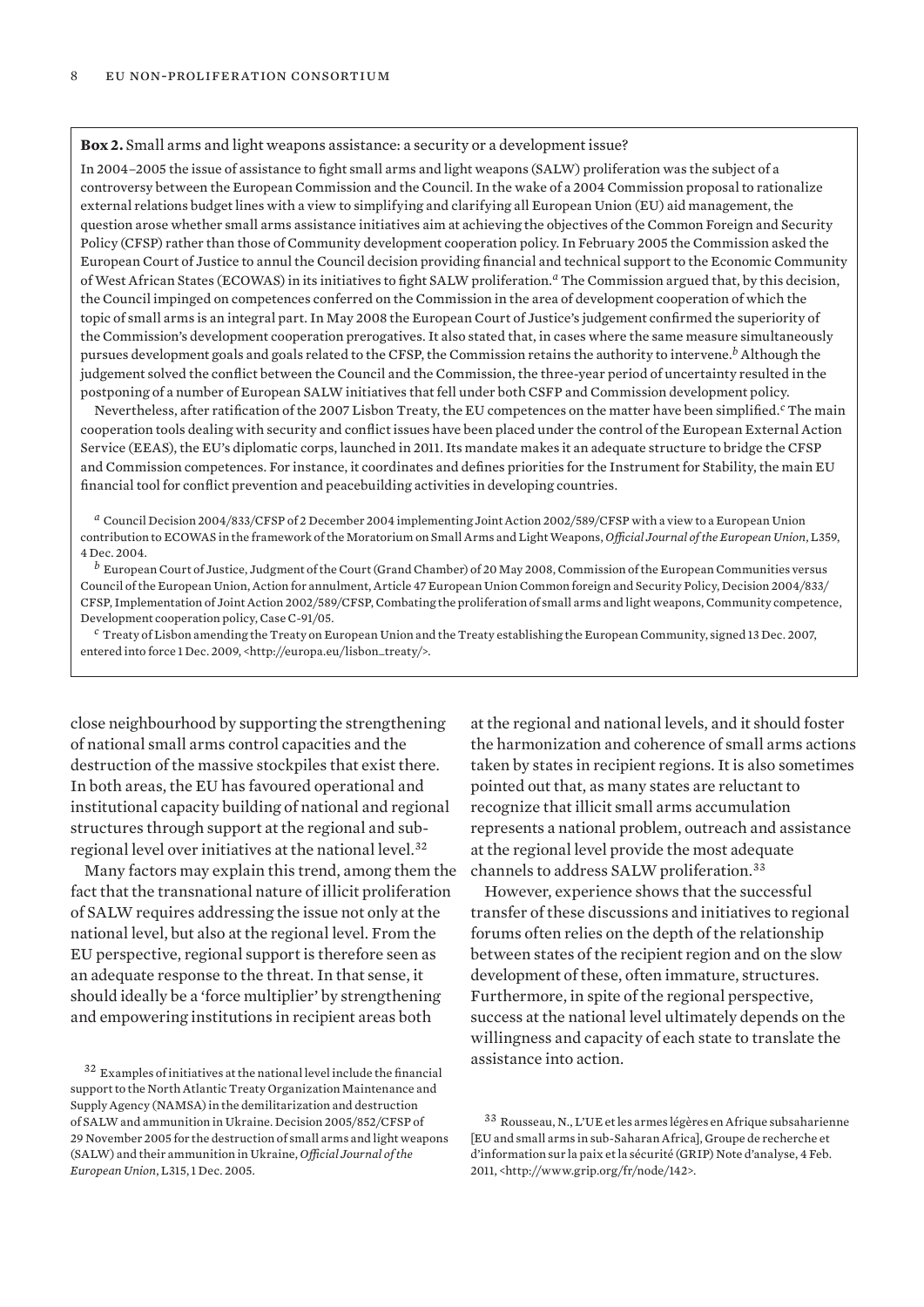#### **Box 2.** Small arms and light weapons assistance: a security or a development issue?

In 2004–2005 the issue of assistance to fight small arms and light weapons (SALW) proliferation was the subject of a controversy between the European Commission and the Council. In the wake of a 2004 Commission proposal to rationalize external relations budget lines with a view to simplifying and clarifying all European Union (EU) aid management, the question arose whether small arms assistance initiatives aim at achieving the objectives of the Common Foreign and Security Policy (CFSP) rather than those of Community development cooperation policy. In February 2005 the Commission asked the European Court of Justice to annul the Council decision providing financial and technical support to the Economic Community of West African States (ECOWAS) in its initiatives to fight SALW proliferation.*a* The Commission argued that, by this decision, the Council impinged on competences conferred on the Commission in the area of development cooperation of which the topic of small arms is an integral part. In May 2008 the European Court of Justice's judgement confirmed the superiority of the Commission's development cooperation prerogatives. It also stated that, in cases where the same measure simultaneously pursues development goals and goals related to the CFSP, the Commission retains the authority to intervene.*b* Although the judgement solved the conflict between the Council and the Commission, the three-year period of uncertainty resulted in the postponing of a number of European SALW initiatives that fell under both CSFP and Commission development policy.

Nevertheless, after ratification of the 2007 Lisbon Treaty, the EU competences on the matter have been simplified.*c* The main cooperation tools dealing with security and conflict issues have been placed under the control of the European External Action Service (EEAS), the EU's diplomatic corps, launched in 2011. Its mandate makes it an adequate structure to bridge the CFSP and Commission competences. For instance, it coordinates and defines priorities for the Instrument for Stability, the main EU financial tool for conflict prevention and peacebuilding activities in developing countries.

*<sup>a</sup>* Council Decision 2004/833/CFSP of 2 December 2004 implementing Joint Action 2002/589/CFSP with a view to a European Union contribution to ECOWAS in the framework of the Moratorium on Small Arms and Light Weapons, *Official Journal of the European Union*, L359, 4 Dec. 2004.

*<sup>b</sup>* European Court of Justice, Judgment of the Court (Grand Chamber) of 20 May 2008, Commission of the European Communities versus Council of the European Union, Action for annulment, Article 47 European Union Common foreign and Security Policy, Decision 2004/833/ CFSP, Implementation of Joint Action 2002/589/CFSP, Combating the proliferation of small arms and light weapons, Community competence, Development cooperation policy, Case C-91/05.

*<sup>c</sup>* Treaty of Lisbon amending the Treaty on European Union and the Treaty establishing the European Community, signed 13 Dec. 2007, entered into force 1 Dec. 2009, <http://europa.eu/lisbon\_treaty/>.

close neighbourhood by supporting the strengthening of national small arms control capacities and the destruction of the massive stockpiles that exist there. In both areas, the EU has favoured operational and institutional capacity building of national and regional structures through support at the regional and subregional level over initiatives at the national level.<sup>32</sup>

Many factors may explain this trend, among them the fact that the transnational nature of illicit proliferation of SALW requires addressing the issue not only at the national level, but also at the regional level. From the EU perspective, regional support is therefore seen as an adequate response to the threat. In that sense, it should ideally be a 'force multiplier' by strengthening and empowering institutions in recipient areas both

<sup>32</sup> Examples of initiatives at the national level include the financial support to the North Atlantic Treaty Organization Maintenance and Supply Agency (NAMSA) in the demilitarization and destruction of SALW and ammunition in Ukraine. Decision 2005/852/CFSP of 29 November 2005 for the destruction of small arms and light weapons (SALW) and their ammunition in Ukraine, *Official Journal of the European Union*, L315, 1 Dec. 2005.

at the regional and national levels, and it should foster the harmonization and coherence of small arms actions taken by states in recipient regions. It is also sometimes pointed out that, as many states are reluctant to recognize that illicit small arms accumulation represents a national problem, outreach and assistance at the regional level provide the most adequate channels to address SALW proliferation.<sup>33</sup>

However, experience shows that the successful transfer of these discussions and initiatives to regional forums often relies on the depth of the relationship between states of the recipient region and on the slow development of these, often immature, structures. Furthermore, in spite of the regional perspective, success at the national level ultimately depends on the willingness and capacity of each state to translate the assistance into action.

<sup>33</sup> Rousseau, N., L'UE et les armes légères en Afrique subsaharienne [EU and small arms in sub-Saharan Africa], Groupe de recherche et d'information sur la paix et la sécurité (GRIP) Note d'analyse, 4 Feb. 2011, <http://www.grip.org/fr/node/142>.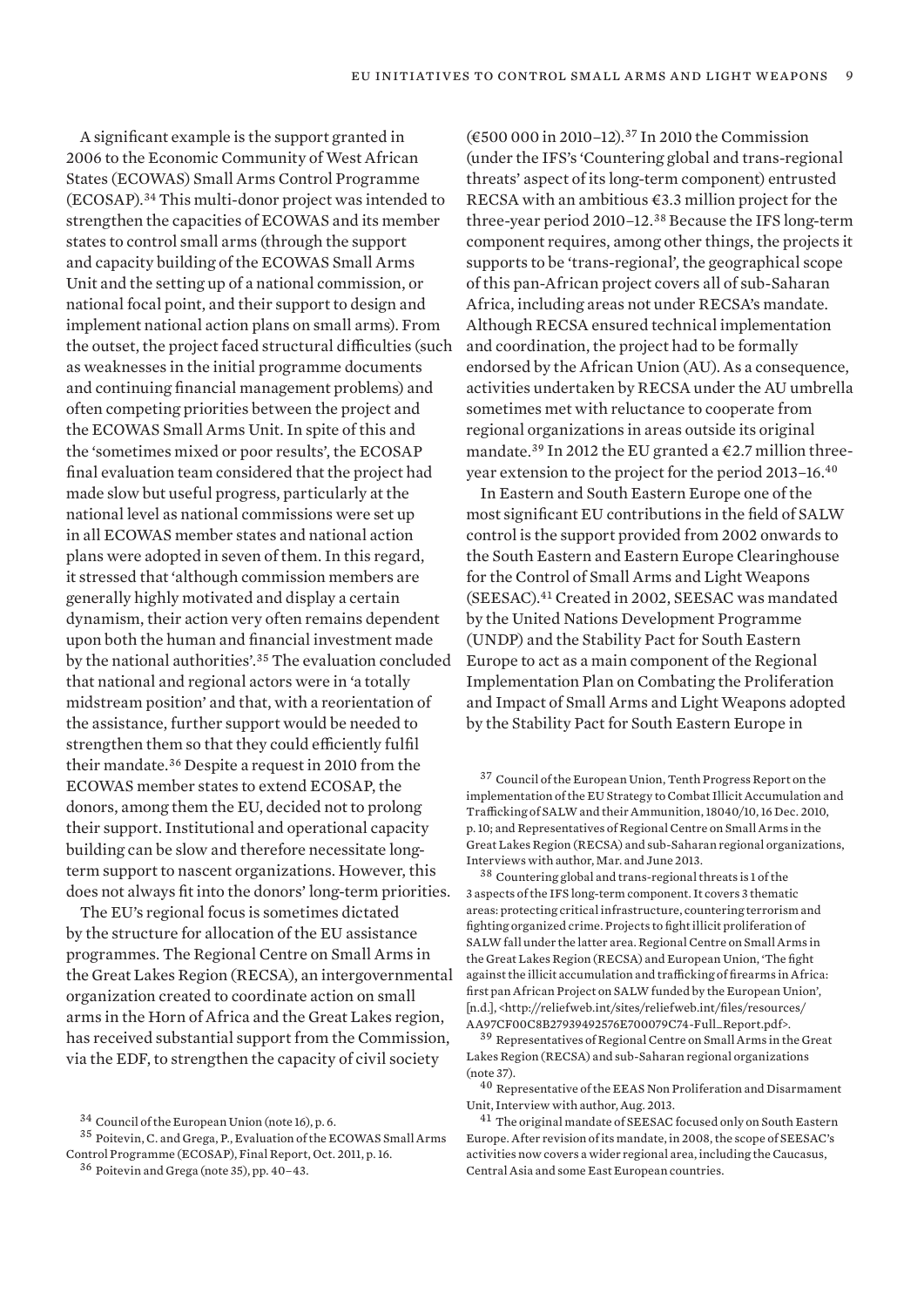A significant example is the support granted in 2006 to the Economic Community of West African States (ECOWAS) Small Arms Control Programme (ECOSAP).<sup>34</sup> This multi-donor project was intended to strengthen the capacities of ECOWAS and its member states to control small arms (through the support and capacity building of the ECOWAS Small Arms Unit and the setting up of a national commission, or national focal point, and their support to design and implement national action plans on small arms). From the outset, the project faced structural difficulties (such as weaknesses in the initial programme documents and continuing financial management problems) and often competing priorities between the project and the ECOWAS Small Arms Unit. In spite of this and the 'sometimes mixed or poor results', the ECOSAP final evaluation team considered that the project had made slow but useful progress, particularly at the national level as national commissions were set up in all ECOWAS member states and national action plans were adopted in seven of them. In this regard, it stressed that 'although commission members are generally highly motivated and display a certain dynamism, their action very often remains dependent upon both the human and financial investment made by the national authorities'.<sup>35</sup> The evaluation concluded that national and regional actors were in 'a totally midstream position' and that, with a reorientation of the assistance, further support would be needed to strengthen them so that they could efficiently fulfil their mandate.<sup>36</sup> Despite a request in 2010 from the ECOWAS member states to extend ECOSAP, the donors, among them the EU, decided not to prolong their support. Institutional and operational capacity building can be slow and therefore necessitate longterm support to nascent organizations. However, this does not always fit into the donors' long-term priorities.

The EU's regional focus is sometimes dictated by the structure for allocation of the EU assistance programmes. The Regional Centre on Small Arms in the Great Lakes Region (RECSA), an intergovernmental organization created to coordinate action on small arms in the Horn of Africa and the Great Lakes region, has received substantial support from the Commission, via the EDF, to strengthen the capacity of civil society

(€500 000 in 2010–12).<sup>37</sup> In 2010 the Commission (under the IFS's 'Countering global and trans-regional threats' aspect of its long-term component) entrusted RECSA with an ambitious €3.3 million project for the three-year period 2010–12.<sup>38</sup> Because the IFS long-term component requires, among other things, the projects it supports to be 'trans-regional', the geographical scope of this pan-African project covers all of sub-Saharan Africa, including areas not under RECSA's mandate. Although RECSA ensured technical implementation and coordination, the project had to be formally endorsed by the African Union (AU). As a consequence, activities undertaken by RECSA under the AU umbrella sometimes met with reluctance to cooperate from regional organizations in areas outside its original mandate.<sup>39</sup> In 2012 the EU granted a  $\epsilon$ 2.7 million threeyear extension to the project for the period 2013–16.<sup>40</sup>

In Eastern and South Eastern Europe one of the most significant EU contributions in the field of SALW control is the support provided from 2002 onwards to the South Eastern and Eastern Europe Clearinghouse for the Control of Small Arms and Light Weapons (SEESAC).<sup>41</sup> Created in 2002, SEESAC was mandated by the United Nations Development Programme (UNDP) and the Stability Pact for South Eastern Europe to act as a main component of the Regional Implementation Plan on Combating the Proliferation and Impact of Small Arms and Light Weapons adopted by the Stability Pact for South Eastern Europe in

<sup>37</sup> Council of the European Union, Tenth Progress Report on the implementation of the EU Strategy to Combat Illicit Accumulation and Trafficking of SALW and their Ammunition, 18040/10, 16 Dec. 2010, p. 10; and Representatives of Regional Centre on Small Arms in the Great Lakes Region (RECSA) and sub-Saharan regional organizations, Interviews with author, Mar. and June 2013.

<sup>38</sup> Countering global and trans-regional threats is 1 of the 3 aspects of the IFS long-term component. It covers 3 thematic areas: protecting critical infrastructure, countering terrorism and fighting organized crime. Projects to fight illicit proliferation of SALW fall under the latter area. Regional Centre on Small Arms in the Great Lakes Region (RECSA) and European Union, 'The fight against the illicit accumulation and trafficking of firearms in Africa: first pan African Project on SALW funded by the European Union', [n.d.], <http://reliefweb.int/sites/reliefweb.int/files/resources/ AA97CF00C8B27939492576E700079C74-Full\_Report.pdf>.

<sup>39</sup> Representatives of Regional Centre on Small Arms in the Great Lakes Region (RECSA) and sub-Saharan regional organizations (note 37).

<sup>40</sup> Representative of the EEAS Non Proliferation and Disarmament Unit, Interview with author, Aug. 2013.

 $\rm ^{41}$  The original mandate of SEESAC focused only on South Eastern Europe. After revision of its mandate, in 2008, the scope of SEESAC's activities now covers a wider regional area, including the Caucasus, Central Asia and some East European countries.

<sup>34</sup> Council of the European Union (note 16), p. 6.

<sup>35</sup> Poitevin, C. and Grega, P., Evaluation of the ECOWAS Small Arms Control Programme (ECOSAP), Final Report, Oct. 2011, p. 16.

<sup>36</sup> Poitevin and Grega (note 35), pp. 40–43.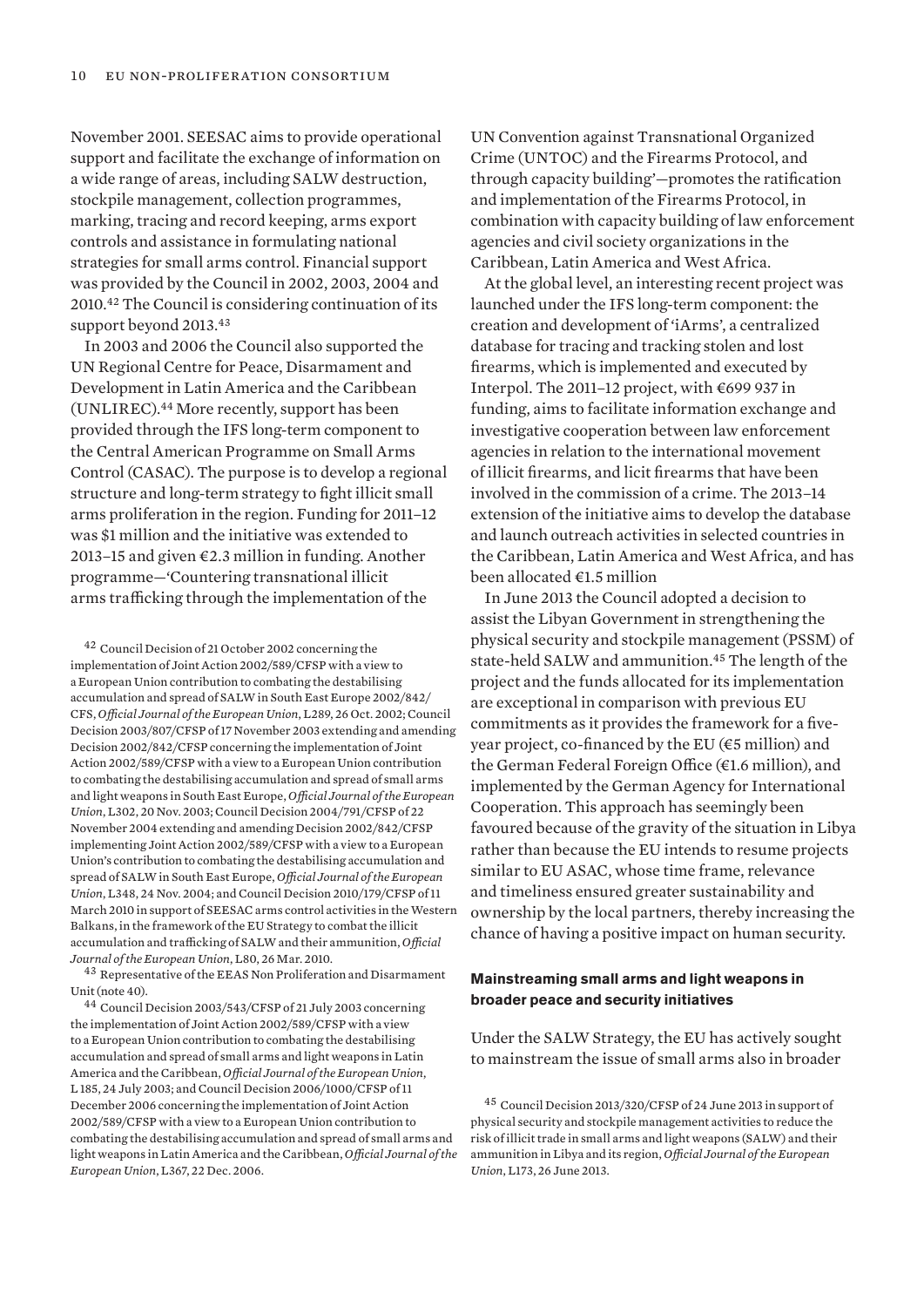November 2001. SEESAC aims to provide operational support and facilitate the exchange of information on a wide range of areas, including SALW destruction, stockpile management, collection programmes, marking, tracing and record keeping, arms export controls and assistance in formulating national strategies for small arms control. Financial support was provided by the Council in 2002, 2003, 2004 and 2010.<sup>42</sup> The Council is considering continuation of its support beyond 2013.<sup>43</sup>

In 2003 and 2006 the Council also supported the UN Regional Centre for Peace, Disarmament and Development in Latin America and the Caribbean (UNLIREC).<sup>44</sup> More recently, support has been provided through the IFS long-term component to the Central American Programme on Small Arms Control (CASAC). The purpose is to develop a regional structure and long-term strategy to fight illicit small arms proliferation in the region. Funding for 2011–12 was \$1 million and the initiative was extended to 2013–15 and given  $\epsilon$ 2.3 million in funding. Another programme—'Countering transnational illicit arms trafficking through the implementation of the

<sup>42</sup> Council Decision of 21 October 2002 concerning the implementation of Joint Action 2002/589/CFSP with a view to a European Union contribution to combating the destabilising accumulation and spread of SALW in South East Europe 2002/842/ CFS, *Official Journal of the European Union*, L289, 26 Oct. 2002; Council Decision 2003/807/CFSP of 17 November 2003 extending and amending Decision 2002/842/CFSP concerning the implementation of Joint Action 2002/589/CFSP with a view to a European Union contribution to combating the destabilising accumulation and spread of small arms and light weapons in South East Europe, *Official Journal of the European Union*, L302, 20 Nov. 2003; Council Decision 2004/791/CFSP of 22 November 2004 extending and amending Decision 2002/842/CFSP implementing Joint Action 2002/589/CFSP with a view to a European Union's contribution to combating the destabilising accumulation and spread of SALW in South East Europe, *Official Journal of the European Union*, L348, 24 Nov. 2004; and Council Decision 2010/179/CFSP of 11 March 2010 in support of SEESAC arms control activities in the Western Balkans, in the framework of the EU Strategy to combat the illicit accumulation and trafficking of SALW and their ammunition, *Official Journal of the European Union*, L80, 26 Mar. 2010.

<sup>43</sup> Representative of the EEAS Non Proliferation and Disarmament Unit (note 40).

<sup>44</sup> Council Decision 2003/543/CFSP of 21 July 2003 concerning the implementation of Joint Action 2002/589/CFSP with a view to a European Union contribution to combating the destabilising accumulation and spread of small arms and light weapons in Latin America and the Caribbean, *Official Journal of the European Union*, L 185, 24 July 2003; and Council Decision 2006/1000/CFSP of 11 December 2006 concerning the implementation of Joint Action 2002/589/CFSP with a view to a European Union contribution to combating the destabilising accumulation and spread of small arms and light weapons in Latin America and the Caribbean, *Official Journal of the European Union*, L367, 22 Dec. 2006.

UN Convention against Transnational Organized Crime (UNTOC) and the Firearms Protocol, and through capacity building'—promotes the ratification and implementation of the Firearms Protocol, in combination with capacity building of law enforcement agencies and civil society organizations in the Caribbean, Latin America and West Africa.

At the global level, an interesting recent project was launched under the IFS long-term component: the creation and development of 'iArms', a centralized database for tracing and tracking stolen and lost firearms, which is implemented and executed by Interpol. The 2011–12 project, with €699 937 in funding, aims to facilitate information exchange and investigative cooperation between law enforcement agencies in relation to the international movement of illicit firearms, and licit firearms that have been involved in the commission of a crime. The 2013–14 extension of the initiative aims to develop the database and launch outreach activities in selected countries in the Caribbean, Latin America and West Africa, and has been allocated €1.5 million

In June 2013 the Council adopted a decision to assist the Libyan Government in strengthening the physical security and stockpile management (PSSM) of state-held SALW and ammunition.<sup>45</sup> The length of the project and the funds allocated for its implementation are exceptional in comparison with previous EU commitments as it provides the framework for a fivevear project, co-financed by the EU ( $€5$  million) and the German Federal Foreign Office (€1.6 million), and implemented by the German Agency for International Cooperation. This approach has seemingly been favoured because of the gravity of the situation in Libya rather than because the EU intends to resume projects similar to EU ASAC, whose time frame, relevance and timeliness ensured greater sustainability and ownership by the local partners, thereby increasing the chance of having a positive impact on human security.

# **Mainstreaming small arms and light weapons in broader peace and security initiatives**

Under the SALW Strategy, the EU has actively sought to mainstream the issue of small arms also in broader

<sup>45</sup> Council Decision 2013/320/CFSP of 24 June 2013 in support of physical security and stockpile management activities to reduce the risk of illicit trade in small arms and light weapons (SALW) and their ammunition in Libya and its region, *Official Journal of the European Union*, L173, 26 June 2013.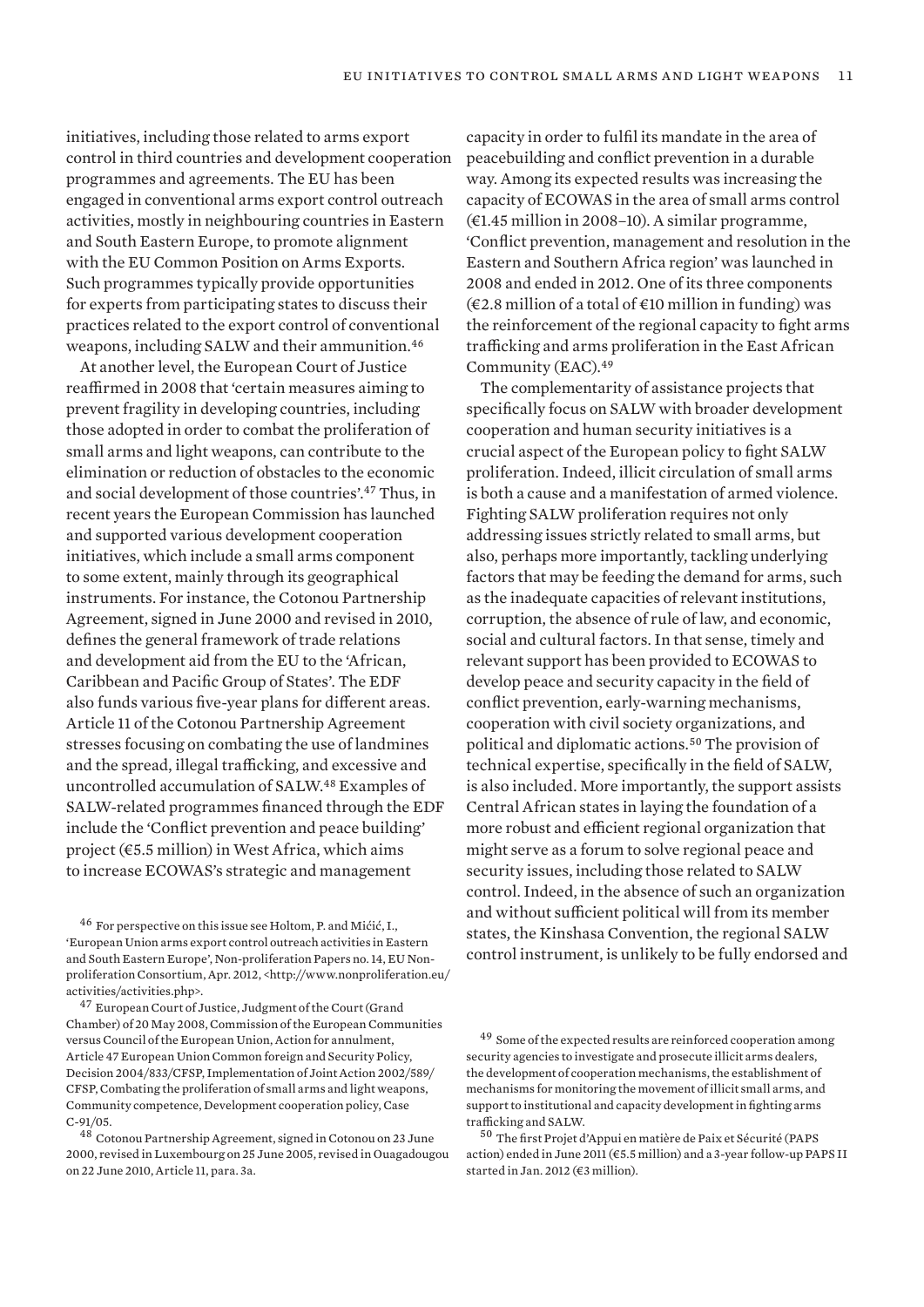initiatives, including those related to arms export control in third countries and development cooperation programmes and agreements. The EU has been engaged in conventional arms export control outreach activities, mostly in neighbouring countries in Eastern and South Eastern Europe, to promote alignment with the EU Common Position on Arms Exports. Such programmes typically provide opportunities for experts from participating states to discuss their practices related to the export control of conventional weapons, including SALW and their ammunition.<sup>46</sup>

At another level, the European Court of Justice reaffirmed in 2008 that 'certain measures aiming to prevent fragility in developing countries, including those adopted in order to combat the proliferation of small arms and light weapons, can contribute to the elimination or reduction of obstacles to the economic and social development of those countries'.<sup>47</sup> Thus, in recent years the European Commission has launched and supported various development cooperation initiatives, which include a small arms component to some extent, mainly through its geographical instruments. For instance, the Cotonou Partnership Agreement, signed in June 2000 and revised in 2010, defines the general framework of trade relations and development aid from the EU to the 'African, Caribbean and Pacific Group of States'. The EDF also funds various five-year plans for different areas. Article 11 of the Cotonou Partnership Agreement stresses focusing on combating the use of landmines and the spread, illegal trafficking, and excessive and uncontrolled accumulation of SALW.<sup>48</sup> Examples of SALW-related programmes financed through the EDF include the 'Conflict prevention and peace building' project (€5.5 million) in West Africa, which aims to increase ECOWAS's strategic and management

<sup>46</sup> For perspective on this issue see Holtom, P. and Mićić, I., 'European Union arms export control outreach activities in Eastern and South Eastern Europe', Non-proliferation Papers no. 14, EU Nonproliferation Consortium, Apr. 2012, <http://www.nonproliferation.eu/ activities/activities.php>.

<sup>47</sup> European Court of Justice, Judgment of the Court (Grand Chamber) of 20 May 2008, Commission of the European Communities versus Council of the European Union, Action for annulment, Article 47 European Union Common foreign and Security Policy, Decision 2004/833/CFSP, Implementation of Joint Action 2002/589/ CFSP, Combating the proliferation of small arms and light weapons, Community competence, Development cooperation policy, Case C-91/05.

capacity in order to fulfil its mandate in the area of peacebuilding and conflict prevention in a durable way. Among its expected results was increasing the capacity of ECOWAS in the area of small arms control (€1.45 million in 2008–10). A similar programme, 'Conflict prevention, management and resolution in the Eastern and Southern Africa region' was launched in 2008 and ended in 2012. One of its three components (€2.8 million of a total of €10 million in funding) was the reinforcement of the regional capacity to fight arms trafficking and arms proliferation in the East African Community (EAC).<sup>49</sup>

The complementarity of assistance projects that specifically focus on SALW with broader development cooperation and human security initiatives is a crucial aspect of the European policy to fight SALW proliferation. Indeed, illicit circulation of small arms is both a cause and a manifestation of armed violence. Fighting SALW proliferation requires not only addressing issues strictly related to small arms, but also, perhaps more importantly, tackling underlying factors that may be feeding the demand for arms, such as the inadequate capacities of relevant institutions, corruption, the absence of rule of law, and economic, social and cultural factors. In that sense, timely and relevant support has been provided to ECOWAS to develop peace and security capacity in the field of conflict prevention, early-warning mechanisms, cooperation with civil society organizations, and political and diplomatic actions.<sup>50</sup> The provision of technical expertise, specifically in the field of SALW, is also included. More importantly, the support assists Central African states in laying the foundation of a more robust and efficient regional organization that might serve as a forum to solve regional peace and security issues, including those related to SALW control. Indeed, in the absence of such an organization and without sufficient political will from its member states, the Kinshasa Convention, the regional SALW control instrument, is unlikely to be fully endorsed and

<sup>48</sup> Cotonou Partnership Agreement, signed in Cotonou on 23 June 2000, revised in Luxembourg on 25 June 2005, revised in Ouagadougou on 22 June 2010, Article 11, para. 3a.

<sup>&</sup>lt;sup>49</sup> Some of the expected results are reinforced cooperation among security agencies to investigate and prosecute illicit arms dealers, the development of cooperation mechanisms, the establishment of mechanisms for monitoring the movement of illicit small arms, and support to institutional and capacity development in fighting arms trafficking and SALW.

<sup>50</sup> The first Projet d'Appui en matière de Paix et Sécurité (PAPS action) ended in June 2011 (€5.5 million) and a 3-year follow-up PAPS II started in Jan. 2012 (€3 million).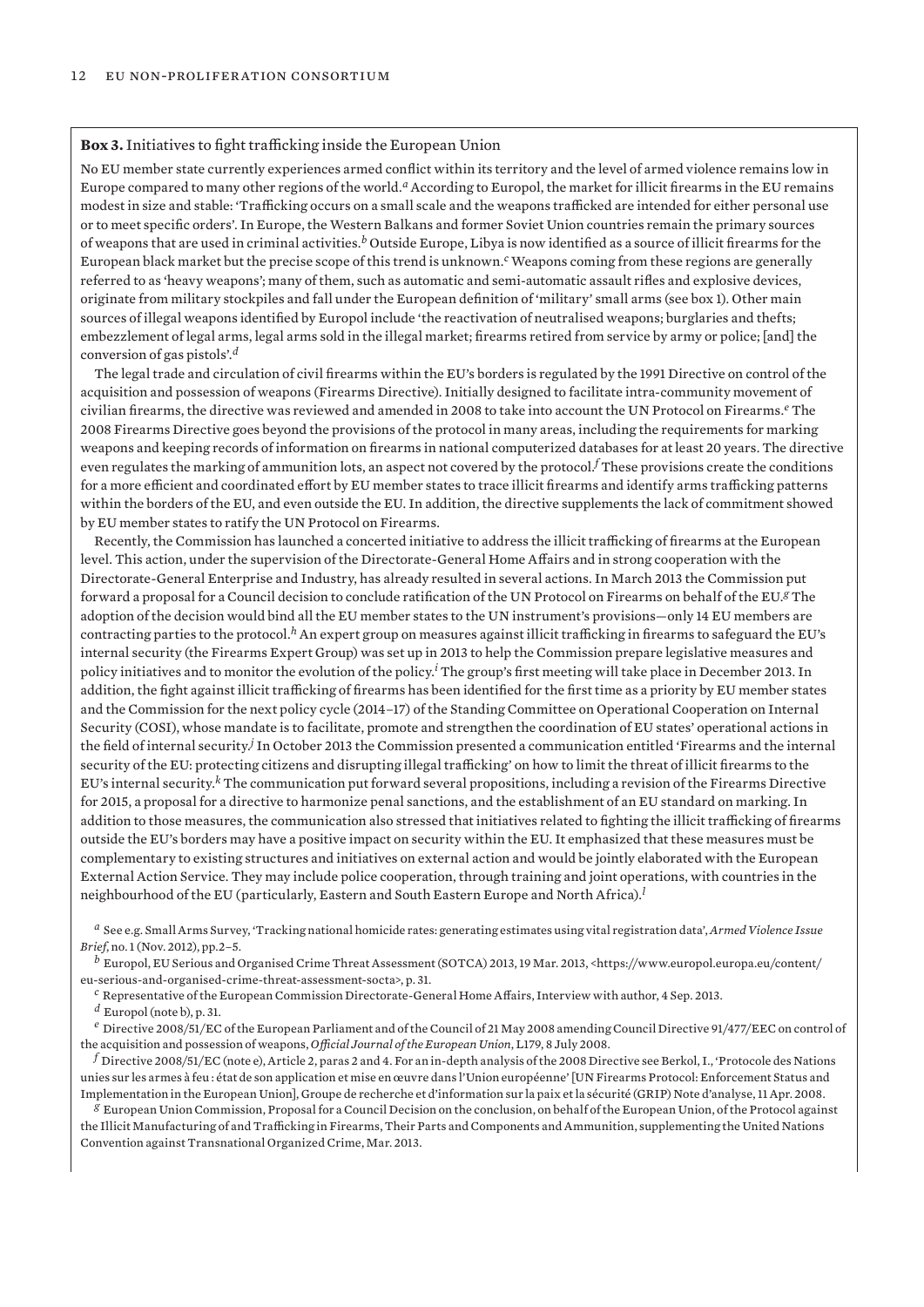#### **Box 3.** Initiatives to fight trafficking inside the European Union

No EU member state currently experiences armed conflict within its territory and the level of armed violence remains low in Europe compared to many other regions of the world.*a* According to Europol, the market for illicit firearms in the EU remains modest in size and stable: 'Trafficking occurs on a small scale and the weapons trafficked are intended for either personal use or to meet specific orders'. In Europe, the Western Balkans and former Soviet Union countries remain the primary sources of weapons that are used in criminal activities.*b* Outside Europe, Libya is now identified as a source of illicit firearms for the European black market but the precise scope of this trend is unknown.*c* Weapons coming from these regions are generally referred to as 'heavy weapons'; many of them, such as automatic and semi-automatic assault rifles and explosive devices, originate from military stockpiles and fall under the European definition of 'military' small arms (see box 1). Other main sources of illegal weapons identified by Europol include 'the reactivation of neutralised weapons; burglaries and thefts; embezzlement of legal arms, legal arms sold in the illegal market; firearms retired from service by army or police; [and] the conversion of gas pistols'.*<sup>d</sup>*

The legal trade and circulation of civil firearms within the EU's borders is regulated by the 1991 Directive on control of the acquisition and possession of weapons (Firearms Directive). Initially designed to facilitate intra-community movement of civilian firearms, the directive was reviewed and amended in 2008 to take into account the UN Protocol on Firearms.*e* The 2008 Firearms Directive goes beyond the provisions of the protocol in many areas, including the requirements for marking weapons and keeping records of information on firearms in national computerized databases for at least 20 years. The directive even regulates the marking of ammunition lots, an aspect not covered by the protocol $f$  These provisions create the conditions for a more efficient and coordinated effort by EU member states to trace illicit firearms and identify arms trafficking patterns within the borders of the EU, and even outside the EU. In addition, the directive supplements the lack of commitment showed by EU member states to ratify the UN Protocol on Firearms.

Recently, the Commission has launched a concerted initiative to address the illicit trafficking of firearms at the European level. This action, under the supervision of the Directorate-General Home Affairs and in strong cooperation with the Directorate-General Enterprise and Industry, has already resulted in several actions. In March 2013 the Commission put forward a proposal for a Council decision to conclude ratification of the UN Protocol on Firearms on behalf of the EU.*g* The adoption of the decision would bind all the EU member states to the UN instrument's provisions—only 14 EU members are contracting parties to the protocol.*h* An expert group on measures against illicit trafficking in firearms to safeguard the EU's internal security (the Firearms Expert Group) was set up in 2013 to help the Commission prepare legislative measures and policy initiatives and to monitor the evolution of the policy.*<sup>i</sup>* The group's first meeting will take place in December 2013. In addition, the fight against illicit trafficking of firearms has been identified for the first time as a priority by EU member states and the Commission for the next policy cycle (2014–17) of the Standing Committee on Operational Cooperation on Internal Security (COSI), whose mandate is to facilitate, promote and strengthen the coordination of EU states' operational actions in the field of internal security.<sup>j</sup> In October 2013 the Commission presented a communication entitled 'Firearms and the internal security of the EU: protecting citizens and disrupting illegal trafficking' on how to limit the threat of illicit firearms to the EU's internal security.*k* The communication put forward several propositions, including a revision of the Firearms Directive for 2015, a proposal for a directive to harmonize penal sanctions, and the establishment of an EU standard on marking. In addition to those measures, the communication also stressed that initiatives related to fighting the illicit trafficking of firearms outside the EU's borders may have a positive impact on security within the EU. It emphasized that these measures must be complementary to existing structures and initiatives on external action and would be jointly elaborated with the European External Action Service. They may include police cooperation, through training and joint operations, with countries in the neighbourhood of the EU (particularly, Eastern and South Eastern Europe and North Africa).*<sup>l</sup>*

*<sup>a</sup>* See e.g. Small Arms Survey, 'Tracking national homicide rates: generating estimates using vital registration data', *Armed Violence Issue Brief*, no. 1 (Nov. 2012), pp.2–5.

*<sup>b</sup>* Europol, EU Serious and Organised Crime Threat Assessment (SOTCA) 2013, 19 Mar. 2013, <https://www.europol.europa.eu/content/ eu-serious-and-organised-crime-threat-assessment-socta>, p. 31.

*<sup>c</sup>* Representative of the European Commission Directorate-General Home Affairs, Interview with author, 4 Sep. 2013.

*<sup>d</sup>* Europol (note b), p. 31.

*<sup>e</sup>* Directive 2008/51/EC of the European Parliament and of the Council of 21 May 2008 amending Council Directive 91/477/EEC on control of the acquisition and possession of weapons, *Official Journal of the European Union*, L179, 8 July 2008.

*<sup>f</sup>* Directive 2008/51/EC (note e), Article 2, paras 2 and 4. For an in-depth analysis of the 2008 Directive see Berkol, I., 'Protocole des Nations unies sur les armes à feu : état de son application et mise en œuvre dans l'Union européenne' [UN Firearms Protocol: Enforcement Status and Implementation in the European Union], Groupe de recherche et d'information sur la paix et la sécurité (GRIP) Note d'analyse, 11 Apr. 2008.

*<sup>g</sup>* European Union Commission, Proposal for a Council Decision on the conclusion, on behalf of the European Union, of the Protocol against the Illicit Manufacturing of and Trafficking in Firearms, Their Parts and Components and Ammunition, supplementing the United Nations Convention against Transnational Organized Crime, Mar. 2013.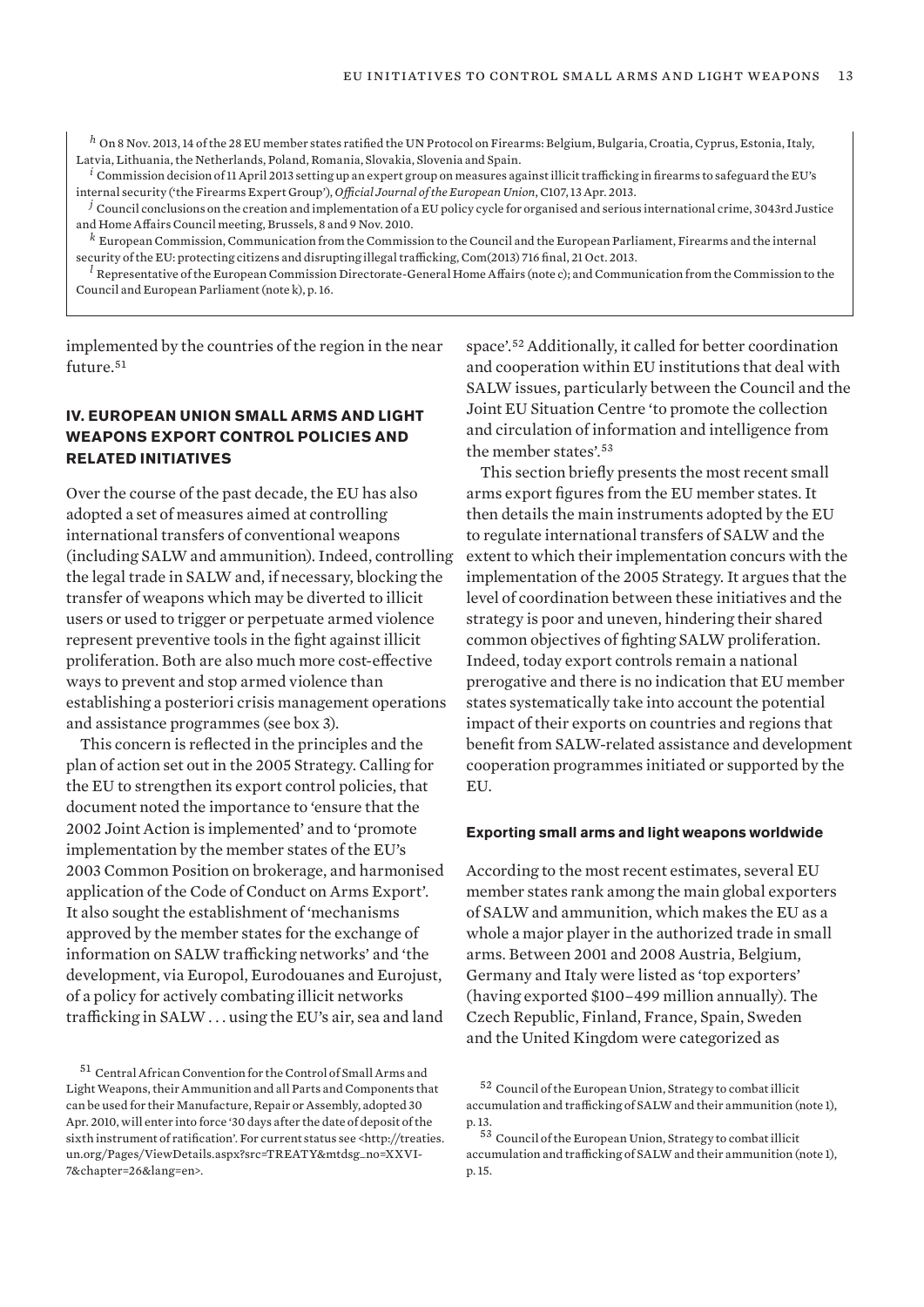*<sup>h</sup>* On 8 Nov. 2013, 14 of the 28 EU member states ratified the UN Protocol on Firearms: Belgium, Bulgaria, Croatia, Cyprus, Estonia, Italy, Latvia, Lithuania, the Netherlands, Poland, Romania, Slovakia, Slovenia and Spain.

*<sup>i</sup>* Commission decision of 11 April 2013 setting up an expert group on measures against illicit trafficking in firearms to safeguard the EU's internal security ('the Firearms Expert Group'), *Official Journal of the European Union*, C107, 13 Apr. 2013.

*<sup>j</sup>* Council conclusions on the creation and implementation of a EU policy cycle for organised and serious international crime, 3043rd Justice and Home Affairs Council meeting, Brussels, 8 and 9 Nov. 2010.

*<sup>k</sup>* European Commission, Communication from the Commission to the Council and the European Parliament, Firearms and the internal security of the EU: protecting citizens and disrupting illegal trafficking, Com(2013) 716 final, 21 Oct. 2013.

*<sup>l</sup>* Representative of the European Commission Directorate-General Home Affairs (note c); and Communication from the Commission to the Council and European Parliament (note k), p. 16.

implemented by the countries of the region in the near future.<sup>51</sup>

# **IV. EUROPEAN UNION SMALL ARMS AND LIGHT WEAPONS EXPORT CONTROL POLICIES AND RELATED INITIATIVES**

Over the course of the past decade, the EU has also adopted a set of measures aimed at controlling international transfers of conventional weapons (including SALW and ammunition). Indeed, controlling the legal trade in SALW and, if necessary, blocking the transfer of weapons which may be diverted to illicit users or used to trigger or perpetuate armed violence represent preventive tools in the fight against illicit proliferation. Both are also much more cost-effective ways to prevent and stop armed violence than establishing a posteriori crisis management operations and assistance programmes (see box 3).

This concern is reflected in the principles and the plan of action set out in the 2005 Strategy. Calling for the EU to strengthen its export control policies, that document noted the importance to 'ensure that the 2002 Joint Action is implemented' and to 'promote implementation by the member states of the EU's 2003 Common Position on brokerage, and harmonised application of the Code of Conduct on Arms Export'. It also sought the establishment of 'mechanisms approved by the member states for the exchange of information on SALW trafficking networks' and 'the development, via Europol, Eurodouanes and Eurojust, of a policy for actively combating illicit networks trafficking in SALW . . . using the EU's air, sea and land

space'.<sup>52</sup> Additionally, it called for better coordination and cooperation within EU institutions that deal with SALW issues, particularly between the Council and the Joint EU Situation Centre 'to promote the collection and circulation of information and intelligence from the member states'.<sup>53</sup>

This section briefly presents the most recent small arms export figures from the EU member states. It then details the main instruments adopted by the EU to regulate international transfers of SALW and the extent to which their implementation concurs with the implementation of the 2005 Strategy. It argues that the level of coordination between these initiatives and the strategy is poor and uneven, hindering their shared common objectives of fighting SALW proliferation. Indeed, today export controls remain a national prerogative and there is no indication that EU member states systematically take into account the potential impact of their exports on countries and regions that benefit from SALW-related assistance and development cooperation programmes initiated or supported by the EU.

#### **Exporting small arms and light weapons worldwide**

According to the most recent estimates, several EU member states rank among the main global exporters of SALW and ammunition, which makes the EU as a whole a major player in the authorized trade in small arms. Between 2001 and 2008 Austria, Belgium, Germany and Italy were listed as 'top exporters' (having exported \$100–499 million annually). The Czech Republic, Finland, France, Spain, Sweden and the United Kingdom were categorized as

<sup>51</sup> Central African Convention for the Control of Small Arms and Light Weapons, their Ammunition and all Parts and Components that can be used for their Manufacture, Repair or Assembly, adopted 30 Apr. 2010, will enter into force '30 days after the date of deposit of the sixth instrument of ratification'. For current status see <http://treaties. un.org/Pages/ViewDetails.aspx?src=TREATY&mtdsg\_no=XXVI-7&chapter=26&lang=en>.

<sup>52</sup> Council of the European Union, Strategy to combat illicit accumulation and trafficking of SALW and their ammunition (note 1), p. 13.

<sup>53</sup> Council of the European Union, Strategy to combat illicit accumulation and trafficking of SALW and their ammunition (note 1), p. 15.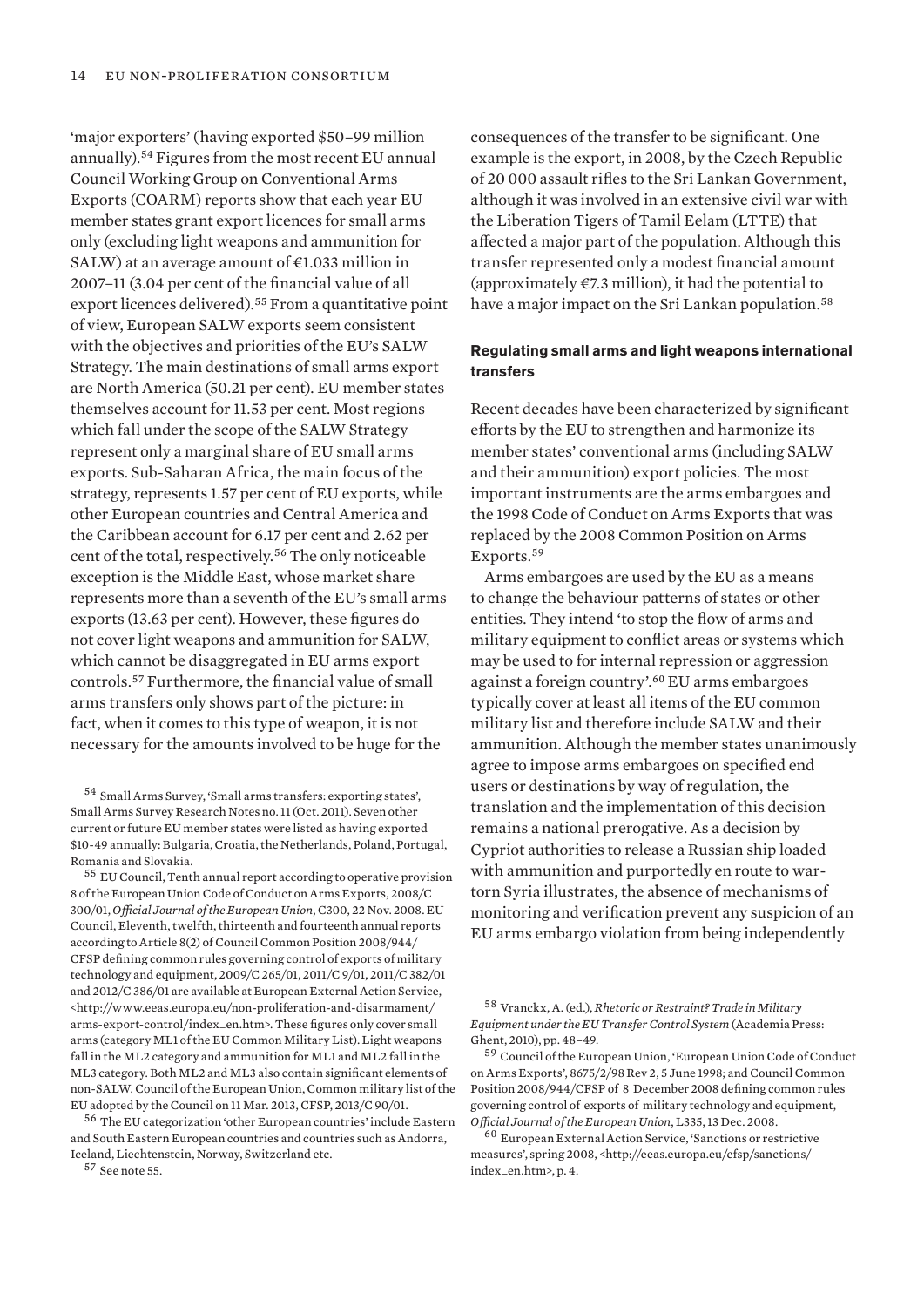'major exporters' (having exported \$50–99 million annually).<sup>54</sup> Figures from the most recent EU annual Council Working Group on Conventional Arms Exports (COARM) reports show that each year EU member states grant export licences for small arms only (excluding light weapons and ammunition for SALW) at an average amount of  $£1.033$  million in 2007–11 (3.04 per cent of the financial value of all export licences delivered).<sup>55</sup> From a quantitative point of view, European SALW exports seem consistent with the objectives and priorities of the EU's SALW Strategy. The main destinations of small arms export are North America (50.21 per cent). EU member states themselves account for 11.53 per cent. Most regions which fall under the scope of the SALW Strategy represent only a marginal share of EU small arms exports. Sub-Saharan Africa, the main focus of the strategy, represents 1.57 per cent of EU exports, while other European countries and Central America and the Caribbean account for 6.17 per cent and 2.62 per cent of the total, respectively.<sup>56</sup> The only noticeable exception is the Middle East, whose market share represents more than a seventh of the EU's small arms exports (13.63 per cent). However, these figures do not cover light weapons and ammunition for SALW, which cannot be disaggregated in EU arms export controls.<sup>57</sup> Furthermore, the financial value of small arms transfers only shows part of the picture: in fact, when it comes to this type of weapon, it is not necessary for the amounts involved to be huge for the

<sup>54</sup> Small Arms Survey, 'Small arms transfers: exporting states', Small Arms Survey Research Notes no. 11 (Oct. 2011). Seven other current or future EU member states were listed as having exported \$10-49 annually: Bulgaria, Croatia, the Netherlands, Poland, Portugal, Romania and Slovakia.

<sup>55</sup> EU Council, Tenth annual report according to operative provision 8 of the European Union Code of Conduct on Arms Exports, 2008/C 300/01, *Official Journal of the European Union*, C300, 22 Nov. 2008. EU Council, Eleventh, twelfth, thirteenth and fourteenth annual reports according to Article 8(2) of Council Common Position 2008/944/ CFSP defining common rules governing control of exports of military technology and equipment, 2009/C 265/01, 2011/C 9/01, 2011/C 382/01 and 2012/C 386/01 are available at European External Action Service, <http://www.eeas.europa.eu/non-proliferation-and-disarmament/ arms-export-control/index\_en.htm>. These figures only cover small arms (category ML1 of the EU Common Military List). Light weapons fall in the ML2 category and ammunition for ML1 and ML2 fall in the ML3 category. Both ML2 and ML3 also contain significant elements of non-SALW. Council of the European Union, Common military list of the EU adopted by the Council on 11 Mar. 2013, CFSP, 2013/C 90/01.

<sup>56</sup> The EU categorization 'other European countries' include Eastern and South Eastern European countries and countries such as Andorra, Iceland, Liechtenstein, Norway, Switzerland etc.

<sup>57</sup> See note 55.

consequences of the transfer to be significant. One example is the export, in 2008, by the Czech Republic of 20 000 assault rifles to the Sri Lankan Government, although it was involved in an extensive civil war with the Liberation Tigers of Tamil Eelam (LTTE) that affected a major part of the population. Although this transfer represented only a modest financial amount (approximately  $\notin$  7.3 million), it had the potential to have a major impact on the Sri Lankan population.<sup>58</sup>

#### **Regulating small arms and light weapons international transfers**

Recent decades have been characterized by significant efforts by the EU to strengthen and harmonize its member states' conventional arms (including SALW and their ammunition) export policies. The most important instruments are the arms embargoes and the 1998 Code of Conduct on Arms Exports that was replaced by the 2008 Common Position on Arms Exports.<sup>59</sup>

Arms embargoes are used by the EU as a means to change the behaviour patterns of states or other entities. They intend 'to stop the flow of arms and military equipment to conflict areas or systems which may be used to for internal repression or aggression against a foreign country'.<sup>60</sup> EU arms embargoes typically cover at least all items of the EU common military list and therefore include SALW and their ammunition. Although the member states unanimously agree to impose arms embargoes on specified end users or destinations by way of regulation, the translation and the implementation of this decision remains a national prerogative. As a decision by Cypriot authorities to release a Russian ship loaded with ammunition and purportedly en route to wartorn Syria illustrates, the absence of mechanisms of monitoring and verification prevent any suspicion of an EU arms embargo violation from being independently

<sup>59</sup> Council of the European Union, 'European Union Code of Conduct on Arms Exports', 8675/2/98 Rev 2, 5 June 1998; and Council Common Position 2008/944/CFSP of 8 December 2008 defining common rules governing control of exports of military technology and equipment, *Official Journal of the European Union*, L335, 13 Dec. 2008.

<sup>60</sup> European External Action Service, 'Sanctions or restrictive measures', spring 2008, <http://eeas.europa.eu/cfsp/sanctions/ index\_en.htm>, p. 4.

<sup>58</sup> Vranckx, A. (ed.), *Rhetoric or Restraint? Trade in Military Equipment under the EU Transfer Control System* (Academia Press: Ghent, 2010), pp. 48–49.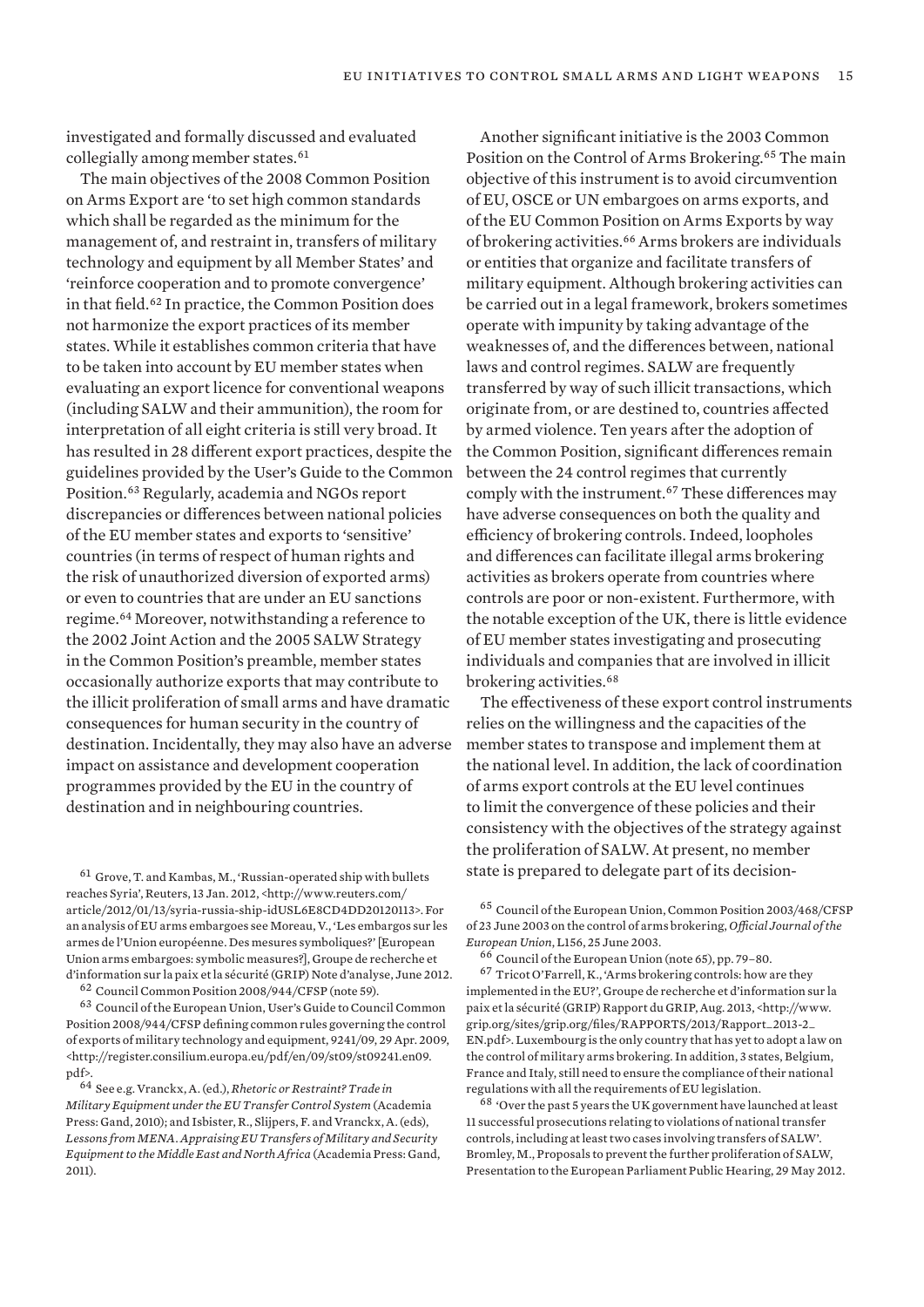investigated and formally discussed and evaluated collegially among member states.<sup>61</sup>

The main objectives of the 2008 Common Position on Arms Export are 'to set high common standards which shall be regarded as the minimum for the management of, and restraint in, transfers of military technology and equipment by all Member States' and 'reinforce cooperation and to promote convergence' in that field.<sup>62</sup> In practice, the Common Position does not harmonize the export practices of its member states. While it establishes common criteria that have to be taken into account by EU member states when evaluating an export licence for conventional weapons (including SALW and their ammunition), the room for interpretation of all eight criteria is still very broad. It has resulted in 28 different export practices, despite the guidelines provided by the User's Guide to the Common Position.<sup>63</sup> Regularly, academia and NGOs report discrepancies or differences between national policies of the EU member states and exports to 'sensitive' countries (in terms of respect of human rights and the risk of unauthorized diversion of exported arms) or even to countries that are under an EU sanctions regime.<sup>64</sup> Moreover, notwithstanding a reference to the 2002 Joint Action and the 2005 SALW Strategy in the Common Position's preamble, member states occasionally authorize exports that may contribute to the illicit proliferation of small arms and have dramatic consequences for human security in the country of destination. Incidentally, they may also have an adverse impact on assistance and development cooperation programmes provided by the EU in the country of destination and in neighbouring countries.

 $61$  Grove, T. and Kambas, M., 'Russian-operated ship with bullets reaches Syria', Reuters, 13 Jan. 2012, <http://www.reuters.com/ article/2012/01/13/syria-russia-ship-idUSL6E8CD4DD20120113>. For an analysis of EU arms embargoes see Moreau, V., 'Les embargos sur les armes de l'Union européenne. Des mesures symboliques?' [European Union arms embargoes: symbolic measures?], Groupe de recherche et d'information sur la paix et la sécurité (GRIP) Note d'analyse, June 2012.

<sup>62</sup> Council Common Position 2008/944/CFSP (note 59).

<sup>63</sup> Council of the European Union, User's Guide to Council Common Position 2008/944/CFSP defining common rules governing the control of exports of military technology and equipment, 9241/09, 29 Apr. 2009, <http://register.consilium.europa.eu/pdf/en/09/st09/st09241.en09. pdf>.

<sup>64</sup> See e.g. Vranckx, A. (ed.), *Rhetoric or Restraint? Trade in Military Equipment under the EU Transfer Control System* (Academia Press: Gand, 2010); and Isbister, R., Slijpers, F. and Vranckx, A. (eds), *Lessons from MENA. Appraising EU Transfers of Military and Security Equipment to the Middle East and North Africa* (Academia Press: Gand, 2011).

Another significant initiative is the 2003 Common Position on the Control of Arms Brokering.<sup>65</sup> The main objective of this instrument is to avoid circumvention of EU, OSCE or UN embargoes on arms exports, and of the EU Common Position on Arms Exports by way of brokering activities.<sup>66</sup> Arms brokers are individuals or entities that organize and facilitate transfers of military equipment. Although brokering activities can be carried out in a legal framework, brokers sometimes operate with impunity by taking advantage of the weaknesses of, and the differences between, national laws and control regimes. SALW are frequently transferred by way of such illicit transactions, which originate from, or are destined to, countries affected by armed violence. Ten years after the adoption of the Common Position, significant differences remain between the 24 control regimes that currently comply with the instrument.<sup>67</sup> These differences may have adverse consequences on both the quality and efficiency of brokering controls. Indeed, loopholes and differences can facilitate illegal arms brokering activities as brokers operate from countries where controls are poor or non-existent. Furthermore, with the notable exception of the UK, there is little evidence of EU member states investigating and prosecuting individuals and companies that are involved in illicit brokering activities.<sup>68</sup>

The effectiveness of these export control instruments relies on the willingness and the capacities of the member states to transpose and implement them at the national level. In addition, the lack of coordination of arms export controls at the EU level continues to limit the convergence of these policies and their consistency with the objectives of the strategy against the proliferation of SALW. At present, no member state is prepared to delegate part of its decision-

<sup>68</sup> 'Over the past 5 years the UK government have launched at least 11 successful prosecutions relating to violations of national transfer controls, including at least two cases involving transfers of SALW'. Bromley, M., Proposals to prevent the further proliferation of SALW, Presentation to the European Parliament Public Hearing, 29 May 2012.

<sup>65</sup> Council of the European Union, Common Position 2003/468/CFSP of 23 June 2003 on the control of arms brokering, *Official Journal of the European Union*, L156, 25 June 2003.

<sup>66</sup> Council of the European Union (note 65), pp. 79–80.

<sup>67</sup> Tricot O'Farrell, K., 'Arms brokering controls: how are they implemented in the EU?', Groupe de recherche et d'information sur la paix et la sécurité (GRIP) Rapport du GRIP, Aug. 2013, <http://www. grip.org/sites/grip.org/files/RAPPORTS/2013/Rapport\_2013-2\_ EN.pdf>. Luxembourg is the only country that has yet to adopt a law on the control of military arms brokering. In addition, 3 states, Belgium, France and Italy, still need to ensure the compliance of their national regulations with all the requirements of EU legislation.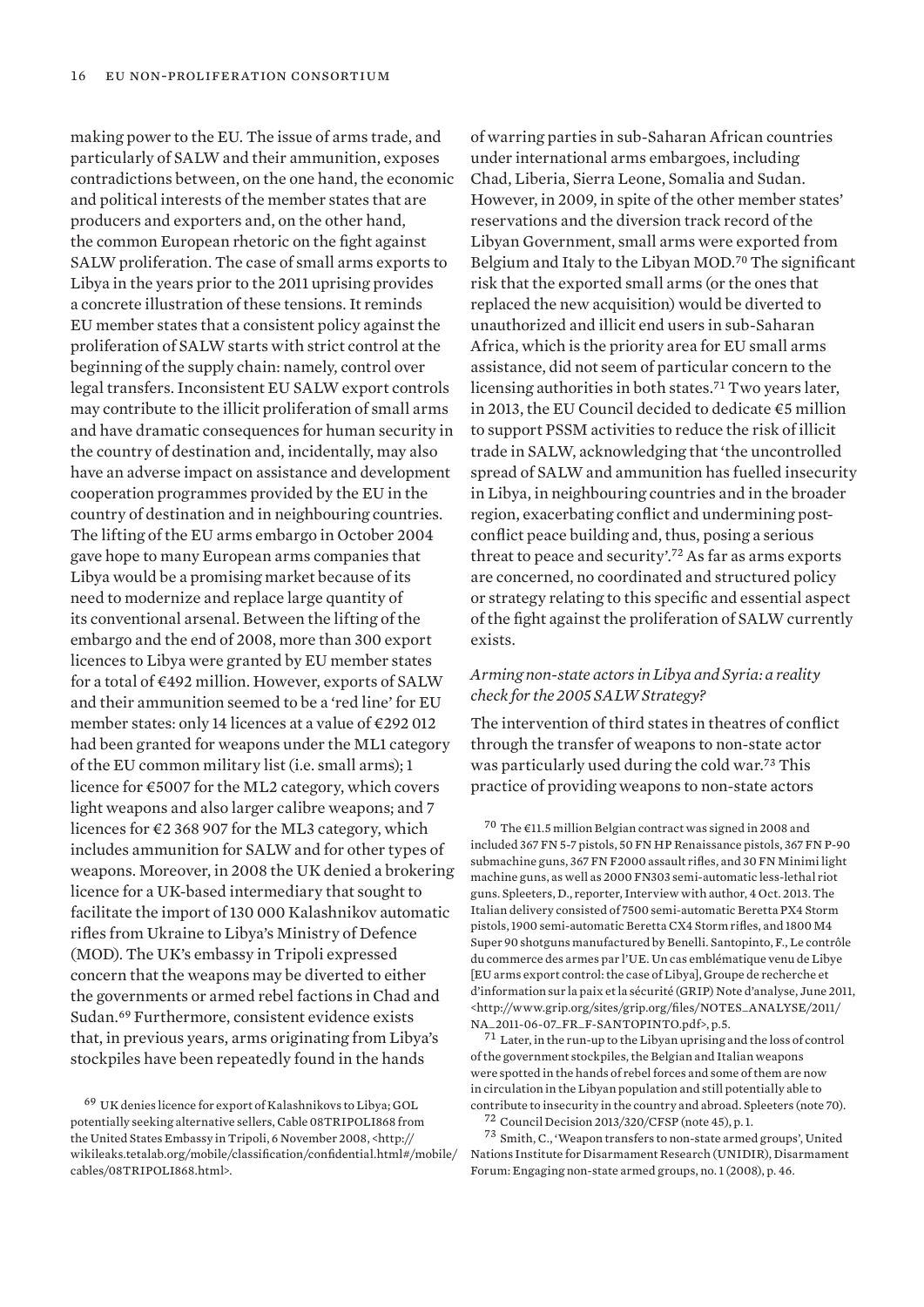making power to the EU. The issue of arms trade, and particularly of SALW and their ammunition, exposes contradictions between, on the one hand, the economic and political interests of the member states that are producers and exporters and, on the other hand, the common European rhetoric on the fight against SALW proliferation. The case of small arms exports to Libya in the years prior to the 2011 uprising provides a concrete illustration of these tensions. It reminds EU member states that a consistent policy against the proliferation of SALW starts with strict control at the beginning of the supply chain: namely, control over legal transfers. Inconsistent EU SALW export controls may contribute to the illicit proliferation of small arms and have dramatic consequences for human security in the country of destination and, incidentally, may also have an adverse impact on assistance and development cooperation programmes provided by the EU in the country of destination and in neighbouring countries. The lifting of the EU arms embargo in October 2004 gave hope to many European arms companies that Libya would be a promising market because of its need to modernize and replace large quantity of its conventional arsenal. Between the lifting of the embargo and the end of 2008, more than 300 export licences to Libya were granted by EU member states for a total of €492 million. However, exports of SALW and their ammunition seemed to be a 'red line' for EU member states: only 14 licences at a value of €292 012 had been granted for weapons under the ML1 category of the EU common military list (i.e. small arms); 1 licence for €5007 for the ML2 category, which covers light weapons and also larger calibre weapons; and 7 licences for €2 368 907 for the ML3 category, which includes ammunition for SALW and for other types of weapons. Moreover, in 2008 the UK denied a brokering licence for a UK-based intermediary that sought to facilitate the import of 130 000 Kalashnikov automatic rifles from Ukraine to Libya's Ministry of Defence (MOD). The UK's embassy in Tripoli expressed concern that the weapons may be diverted to either the governments or armed rebel factions in Chad and Sudan.<sup>69</sup> Furthermore, consistent evidence exists that, in previous years, arms originating from Libya's stockpiles have been repeatedly found in the hands

of warring parties in sub-Saharan African countries under international arms embargoes, including Chad, Liberia, Sierra Leone, Somalia and Sudan. However, in 2009, in spite of the other member states' reservations and the diversion track record of the Libyan Government, small arms were exported from Belgium and Italy to the Libyan MOD.<sup>70</sup> The significant risk that the exported small arms (or the ones that replaced the new acquisition) would be diverted to unauthorized and illicit end users in sub-Saharan Africa, which is the priority area for EU small arms assistance, did not seem of particular concern to the licensing authorities in both states.<sup>71</sup> Two years later, in 2013, the EU Council decided to dedicate €5 million to support PSSM activities to reduce the risk of illicit trade in SALW, acknowledging that 'the uncontrolled spread of SALW and ammunition has fuelled insecurity in Libya, in neighbouring countries and in the broader region, exacerbating conflict and undermining postconflict peace building and, thus, posing a serious threat to peace and security'.<sup>72</sup> As far as arms exports are concerned, no coordinated and structured policy or strategy relating to this specific and essential aspect of the fight against the proliferation of SALW currently exists.

# *Arming non-state actors in Libya and Syria: a reality check for the 2005 SALW Strategy?*

The intervention of third states in theatres of conflict through the transfer of weapons to non-state actor was particularly used during the cold war.<sup>73</sup> This practice of providing weapons to non-state actors

70 The  $\epsilon$ 11.5 million Belgian contract was signed in 2008 and included 367 FN 5-7 pistols, 50 FN HP Renaissance pistols, 367 FN P-90 submachine guns, 367 FN F2000 assault rifles, and 30 FN Minimi light machine guns, as well as 2000 FN303 semi-automatic less-lethal riot guns. Spleeters, D., reporter, Interview with author, 4 Oct. 2013. The Italian delivery consisted of 7500 semi-automatic Beretta PX4 Storm pistols, 1900 semi-automatic Beretta CX4 Storm rifles, and 1800 M4 Super 90 shotguns manufactured by Benelli. Santopinto, F., Le contrôle du commerce des armes par l'UE. Un cas emblématique venu de Libye [EU arms export control: the case of Libya], Groupe de recherche et d'information sur la paix et la sécurité (GRIP) Note d'analyse, June 2011, <http://www.grip.org/sites/grip.org/files/NOTES\_ANALYSE/2011/ NA\_2011-06-07\_FR\_F-SANTOPINTO.pdf>, p.5.

 $71$  Later, in the run-up to the Libyan uprising and the loss of control of the government stockpiles, the Belgian and Italian weapons were spotted in the hands of rebel forces and some of them are now in circulation in the Libyan population and still potentially able to contribute to insecurity in the country and abroad. Spleeters (note 70).

<sup>72</sup> Council Decision 2013/320/CFSP (note 45), p. 1.

<sup>73</sup> Smith, C., 'Weapon transfers to non-state armed groups', United Nations Institute for Disarmament Research (UNIDIR), Disarmament Forum: Engaging non-state armed groups, no. 1 (2008), p. 46.

<sup>69</sup> UK denies licence for export of Kalashnikovs to Libya; GOL potentially seeking alternative sellers, Cable 08TRIPOLI868 from the United States Embassy in Tripoli, 6 November 2008, <http:// wikileaks.tetalab.org/mobile/classification/confidential.html#/mobile/ cables/08TRIPOLI868.html>.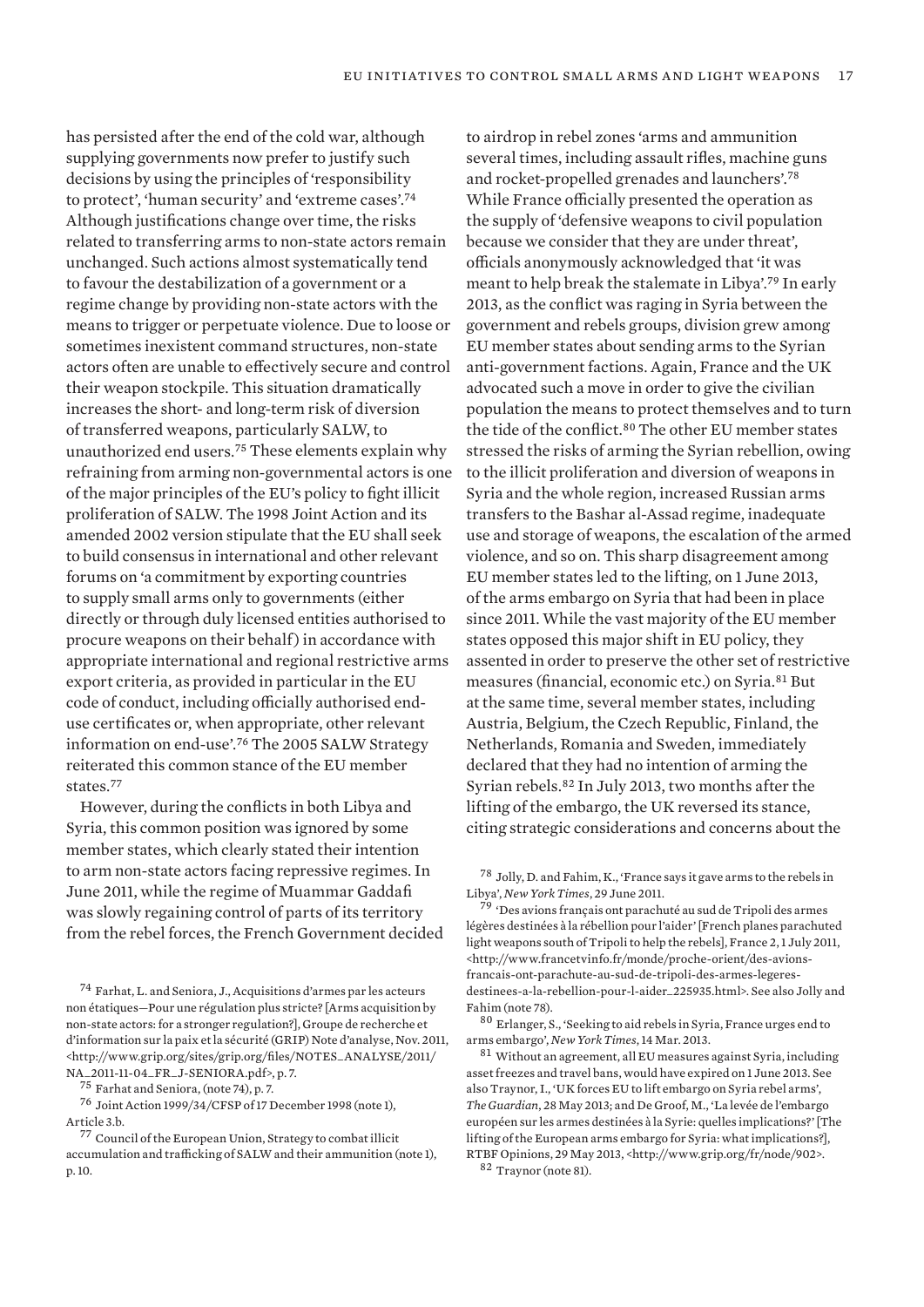has persisted after the end of the cold war, although supplying governments now prefer to justify such decisions by using the principles of 'responsibility to protect', 'human security' and 'extreme cases'.<sup>74</sup> Although justifications change over time, the risks related to transferring arms to non-state actors remain unchanged. Such actions almost systematically tend to favour the destabilization of a government or a regime change by providing non-state actors with the means to trigger or perpetuate violence. Due to loose or sometimes inexistent command structures, non-state actors often are unable to effectively secure and control their weapon stockpile. This situation dramatically increases the short- and long-term risk of diversion of transferred weapons, particularly SALW, to unauthorized end users.<sup>75</sup> These elements explain why refraining from arming non-governmental actors is one of the major principles of the EU's policy to fight illicit proliferation of SALW. The 1998 Joint Action and its amended 2002 version stipulate that the EU shall seek to build consensus in international and other relevant forums on 'a commitment by exporting countries to supply small arms only to governments (either directly or through duly licensed entities authorised to procure weapons on their behalf) in accordance with appropriate international and regional restrictive arms export criteria, as provided in particular in the EU code of conduct, including officially authorised enduse certificates or, when appropriate, other relevant information on end-use'.<sup>76</sup> The 2005 SALW Strategy reiterated this common stance of the EU member states.<sup>77</sup>

However, during the conflicts in both Libya and Syria, this common position was ignored by some member states, which clearly stated their intention to arm non-state actors facing repressive regimes. In June 2011, while the regime of Muammar Gaddafi was slowly regaining control of parts of its territory from the rebel forces, the French Government decided

<sup>76</sup> Joint Action 1999/34/CFSP of 17 December 1998 (note 1), Article 3.b.

<sup>77</sup> Council of the European Union, Strategy to combat illicit accumulation and trafficking of SALW and their ammunition (note 1), p. 10.

to airdrop in rebel zones 'arms and ammunition several times, including assault rifles, machine guns and rocket-propelled grenades and launchers'.<sup>78</sup> While France officially presented the operation as the supply of 'defensive weapons to civil population because we consider that they are under threat', officials anonymously acknowledged that 'it was meant to help break the stalemate in Libya'.<sup>79</sup> In early 2013, as the conflict was raging in Syria between the government and rebels groups, division grew among EU member states about sending arms to the Syrian anti-government factions. Again, France and the UK advocated such a move in order to give the civilian population the means to protect themselves and to turn the tide of the conflict.<sup>80</sup> The other EU member states stressed the risks of arming the Syrian rebellion, owing to the illicit proliferation and diversion of weapons in Syria and the whole region, increased Russian arms transfers to the Bashar al-Assad regime, inadequate use and storage of weapons, the escalation of the armed violence, and so on. This sharp disagreement among EU member states led to the lifting, on 1 June 2013, of the arms embargo on Syria that had been in place since 2011. While the vast majority of the EU member states opposed this major shift in EU policy, they assented in order to preserve the other set of restrictive measures (financial, economic etc.) on Syria.<sup>81</sup> But at the same time, several member states, including Austria, Belgium, the Czech Republic, Finland, the Netherlands, Romania and Sweden, immediately declared that they had no intention of arming the Syrian rebels.<sup>82</sup> In July 2013, two months after the lifting of the embargo, the UK reversed its stance, citing strategic considerations and concerns about the

<sup>79</sup> 'Des avions français ont parachuté au sud de Tripoli des armes légères destinées à la rébellion pour l'aider' [French planes parachuted light weapons south of Tripoli to help the rebels], France 2, 1 July 2011, <http://www.francetvinfo.fr/monde/proche-orient/des-avionsfrancais-ont-parachute-au-sud-de-tripoli-des-armes-legeresdestinees-a-la-rebellion-pour-l-aider\_225935.html>. See also Jolly and Fahim (note 78).

<sup>80</sup> Erlanger, S., 'Seeking to aid rebels in Syria, France urges end to arms embargo', *New York Times*, 14 Mar. 2013.

 $^{81}$  Without an agreement, all EU measures against Syria, including asset freezes and travel bans, would have expired on 1 June 2013. See also Traynor, I., 'UK forces EU to lift embargo on Syria rebel arms', *The Guardian*, 28 May 2013; and De Groof, M., 'La levée de l'embargo européen sur les armes destinées à la Syrie: quelles implications?' [The lifting of the European arms embargo for Syria: what implications?], RTBF Opinions, 29 May 2013, <http://www.grip.org/fr/node/902>.

<sup>82</sup> Traynor (note 81).

<sup>74</sup> Farhat, L. and Seniora, J., Acquisitions d'armes par les acteurs non étatiques—Pour une régulation plus stricte? [Arms acquisition by non-state actors: for a stronger regulation?], Groupe de recherche et d'information sur la paix et la sécurité (GRIP) Note d'analyse, Nov. 2011, <http://www.grip.org/sites/grip.org/files/NOTES\_ANALYSE/2011/ NA\_2011-11-04\_FR\_J-SENIORA.pdf>, p. 7.

<sup>75</sup> Farhat and Seniora, (note 74), p. 7.

<sup>78</sup> Jolly, D. and Fahim, K., 'France says it gave arms to the rebels in Libya', *New York Times*, 29 June 2011.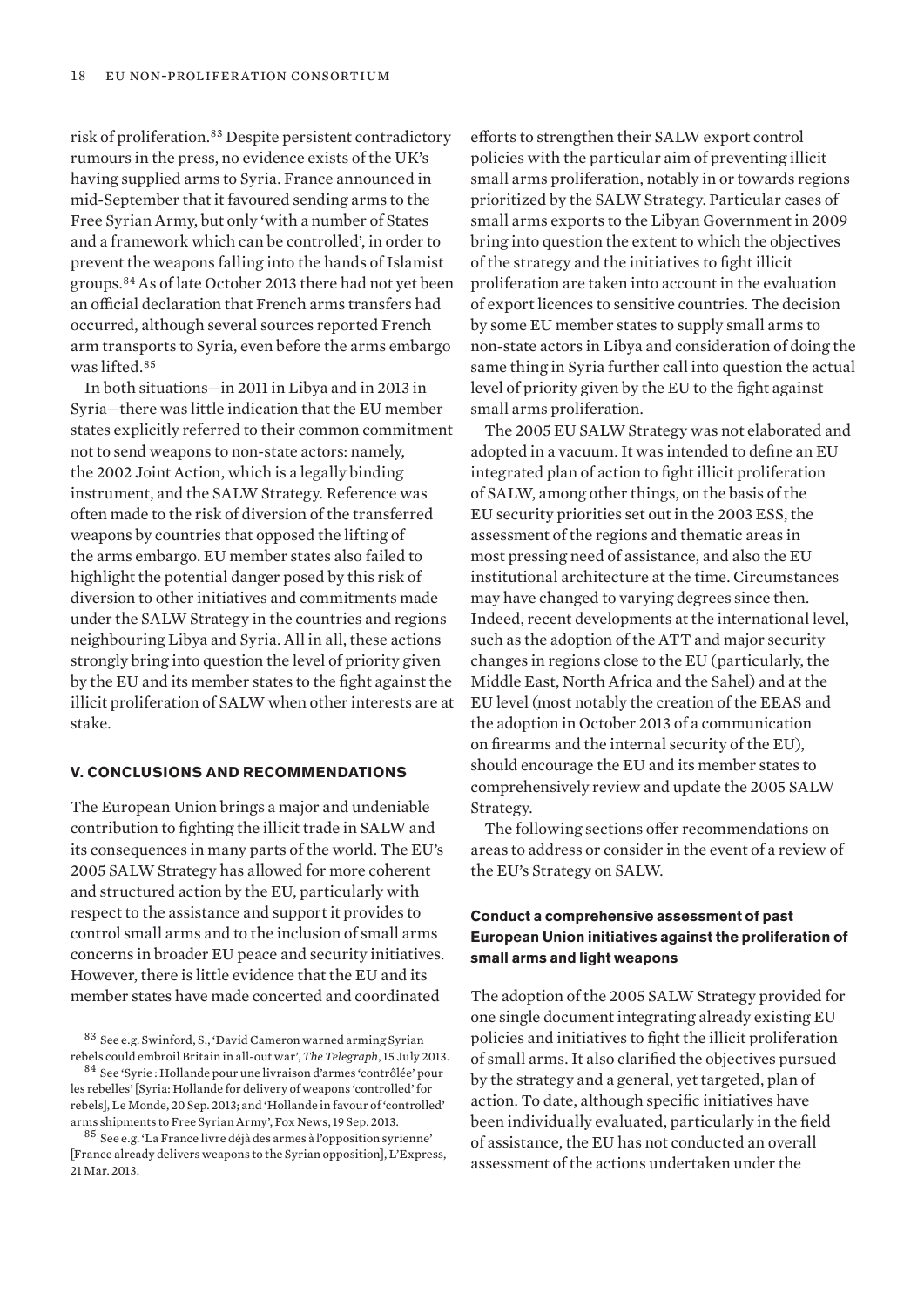risk of proliferation.<sup>83</sup> Despite persistent contradictory rumours in the press, no evidence exists of the UK's having supplied arms to Syria. France announced in mid-September that it favoured sending arms to the Free Syrian Army, but only 'with a number of States and a framework which can be controlled', in order to prevent the weapons falling into the hands of Islamist groups.<sup>84</sup> As of late October 2013 there had not yet been an official declaration that French arms transfers had occurred, although several sources reported French arm transports to Syria, even before the arms embargo was lifted.<sup>85</sup>

In both situations—in 2011 in Libya and in 2013 in Syria—there was little indication that the EU member states explicitly referred to their common commitment not to send weapons to non-state actors: namely, the 2002 Joint Action, which is a legally binding instrument, and the SALW Strategy. Reference was often made to the risk of diversion of the transferred weapons by countries that opposed the lifting of the arms embargo. EU member states also failed to highlight the potential danger posed by this risk of diversion to other initiatives and commitments made under the SALW Strategy in the countries and regions neighbouring Libya and Syria. All in all, these actions strongly bring into question the level of priority given by the EU and its member states to the fight against the illicit proliferation of SALW when other interests are at stake.

#### **V. CONCLUSIONS AND RECOMMENDATIONS**

The European Union brings a major and undeniable contribution to fighting the illicit trade in SALW and its consequences in many parts of the world. The EU's 2005 SALW Strategy has allowed for more coherent and structured action by the EU, particularly with respect to the assistance and support it provides to control small arms and to the inclusion of small arms concerns in broader EU peace and security initiatives. However, there is little evidence that the EU and its member states have made concerted and coordinated

efforts to strengthen their SALW export control policies with the particular aim of preventing illicit small arms proliferation, notably in or towards regions prioritized by the SALW Strategy. Particular cases of small arms exports to the Libyan Government in 2009 bring into question the extent to which the objectives of the strategy and the initiatives to fight illicit proliferation are taken into account in the evaluation of export licences to sensitive countries. The decision by some EU member states to supply small arms to non-state actors in Libya and consideration of doing the same thing in Syria further call into question the actual level of priority given by the EU to the fight against small arms proliferation.

The 2005 EU SALW Strategy was not elaborated and adopted in a vacuum. It was intended to define an EU integrated plan of action to fight illicit proliferation of SALW, among other things, on the basis of the EU security priorities set out in the 2003 ESS, the assessment of the regions and thematic areas in most pressing need of assistance, and also the EU institutional architecture at the time. Circumstances may have changed to varying degrees since then. Indeed, recent developments at the international level, such as the adoption of the ATT and major security changes in regions close to the EU (particularly, the Middle East, North Africa and the Sahel) and at the EU level (most notably the creation of the EEAS and the adoption in October 2013 of a communication on firearms and the internal security of the EU), should encourage the EU and its member states to comprehensively review and update the 2005 SALW Strategy.

The following sections offer recommendations on areas to address or consider in the event of a review of the EU's Strategy on SALW.

# **Conduct a comprehensive assessment of past European Union initiatives against the proliferation of small arms and light weapons**

The adoption of the 2005 SALW Strategy provided for one single document integrating already existing EU policies and initiatives to fight the illicit proliferation of small arms. It also clarified the objectives pursued by the strategy and a general, yet targeted, plan of action. To date, although specific initiatives have been individually evaluated, particularly in the field of assistance, the EU has not conducted an overall assessment of the actions undertaken under the

<sup>83</sup> See e.g. Swinford, S., 'David Cameron warned arming Syrian rebels could embroil Britain in all-out war', *The Telegraph*, 15 July 2013.

<sup>84</sup> See 'Syrie : Hollande pour une livraison d'armes 'contrôlée' pour les rebelles' [Syria: Hollande for delivery of weapons 'controlled' for rebels], Le Monde, 20 Sep. 2013; and 'Hollande in favour of 'controlled' arms shipments to Free Syrian Army', Fox News, 19 Sep. 2013.

<sup>85</sup> See e.g. 'La France livre déjà des armes à l'opposition syrienne' [France already delivers weapons to the Syrian opposition], L'Express, 21 Mar. 2013.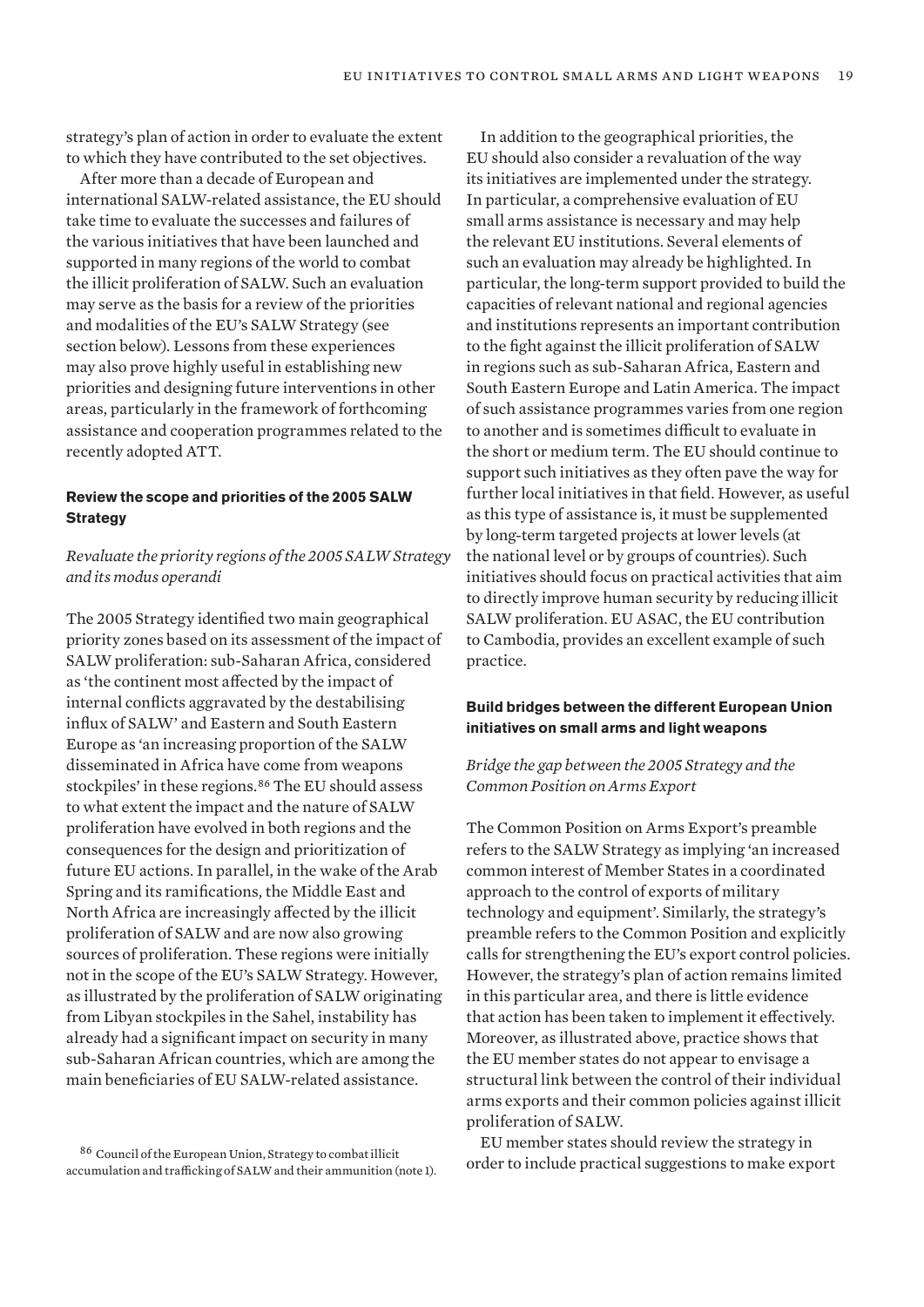strategy's plan of action in order to evaluate the extent to which they have contributed to the set objectives.

After more than a decade of European and international SALW-related assistance, the EU should take time to evaluate the successes and failures of the various initiatives that have been launched and supported in many regions of the world to combat the illicit proliferation of SALW. Such an evaluation may serve as the basis for a review of the priorities and modalities of the EU's SALW Strategy (see section below). Lessons from these experiences may also prove highly useful in establishing new priorities and designing future interventions in other areas, particularly in the framework of forthcoming assistance and cooperation programmes related to the recently adopted ATT.

#### **Review the scope and priorities of the 2005 SALW Strategy**

*Revaluate the priority regions of the 2005 SALW Strategy and its modus operandi*

The 2005 Strategy identified two main geographical priority zones based on its assessment of the impact of SALW proliferation: sub-Saharan Africa, considered as 'the continent most affected by the impact of internal conflicts aggravated by the destabilising influx of SALW' and Eastern and South Eastern Europe as 'an increasing proportion of the SALW disseminated in Africa have come from weapons stockpiles' in these regions.<sup>86</sup> The EU should assess to what extent the impact and the nature of SALW proliferation have evolved in both regions and the consequences for the design and prioritization of future EU actions. In parallel, in the wake of the Arab Spring and its ramifications, the Middle East and North Africa are increasingly affected by the illicit proliferation of SALW and are now also growing sources of proliferation. These regions were initially not in the scope of the EU's SALW Strategy. However, as illustrated by the proliferation of SALW originating from Libyan stockpiles in the Sahel, instability has already had a significant impact on security in many sub-Saharan African countries, which are among the main beneficiaries of EU SALW-related assistance.

<sup>86</sup> Council of the European Union, Strategy to combat illicit accumulation and trafficking of SALW and their ammunition (note 1).

In addition to the geographical priorities, the EU should also consider a revaluation of the way its initiatives are implemented under the strategy. In particular, a comprehensive evaluation of EU small arms assistance is necessary and may help the relevant EU institutions. Several elements of such an evaluation may already be highlighted. In particular, the long-term support provided to build the capacities of relevant national and regional agencies and institutions represents an important contribution to the fight against the illicit proliferation of SALW in regions such as sub-Saharan Africa, Eastern and South Eastern Europe and Latin America. The impact of such assistance programmes varies from one region to another and is sometimes difficult to evaluate in the short or medium term. The EU should continue to support such initiatives as they often pave the way for further local initiatives in that field. However, as useful as this type of assistance is, it must be supplemented by long-term targeted projects at lower levels (at the national level or by groups of countries). Such initiatives should focus on practical activities that aim to directly improve human security by reducing illicit SALW proliferation. EU ASAC, the EU contribution to Cambodia, provides an excellent example of such practice.

# **Build bridges between the different European Union initiatives on small arms and light weapons**

# *Bridge the gap between the 2005 Strategy and the Common Position on Arms Export*

The Common Position on Arms Export's preamble refers to the SALW Strategy as implying 'an increased common interest of Member States in a coordinated approach to the control of exports of military technology and equipment'. Similarly, the strategy's preamble refers to the Common Position and explicitly calls for strengthening the EU's export control policies. However, the strategy's plan of action remains limited in this particular area, and there is little evidence that action has been taken to implement it effectively. Moreover, as illustrated above, practice shows that the EU member states do not appear to envisage a structural link between the control of their individual arms exports and their common policies against illicit proliferation of SALW.

EU member states should review the strategy in order to include practical suggestions to make export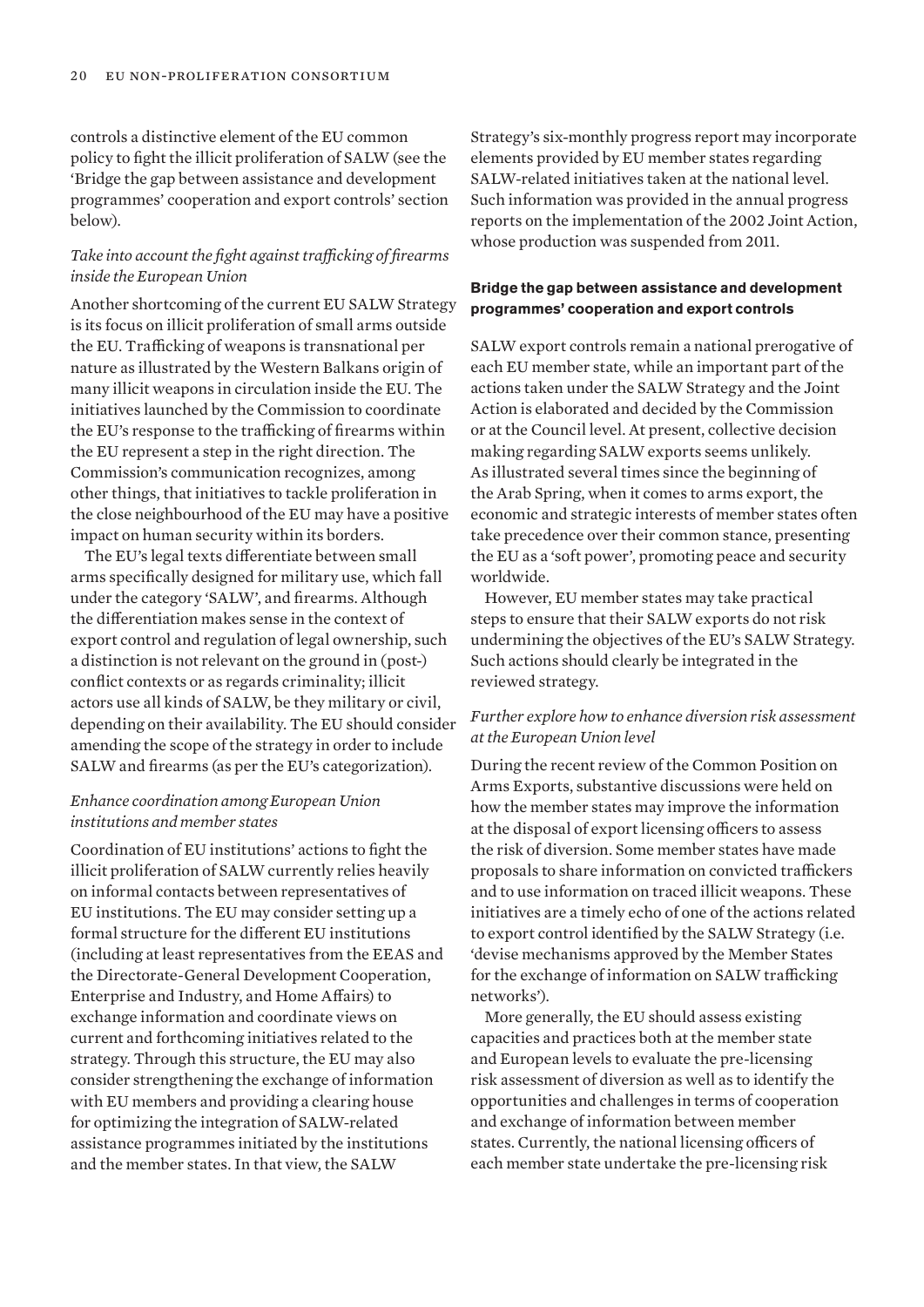controls a distinctive element of the EU common policy to fight the illicit proliferation of SALW (see the 'Bridge the gap between assistance and development programmes' cooperation and export controls' section below).

## *Take into account the fight against trafficking of firearms inside the European Union*

Another shortcoming of the current EU SALW Strategy is its focus on illicit proliferation of small arms outside the EU. Trafficking of weapons is transnational per nature as illustrated by the Western Balkans origin of many illicit weapons in circulation inside the EU. The initiatives launched by the Commission to coordinate the EU's response to the trafficking of firearms within the EU represent a step in the right direction. The Commission's communication recognizes, among other things, that initiatives to tackle proliferation in the close neighbourhood of the EU may have a positive impact on human security within its borders.

The EU's legal texts differentiate between small arms specifically designed for military use, which fall under the category 'SALW', and firearms. Although the differentiation makes sense in the context of export control and regulation of legal ownership, such a distinction is not relevant on the ground in (post-) conflict contexts or as regards criminality; illicit actors use all kinds of SALW, be they military or civil, depending on their availability. The EU should consider amending the scope of the strategy in order to include SALW and firearms (as per the EU's categorization).

#### *Enhance coordination among European Union institutions and member states*

Coordination of EU institutions' actions to fight the illicit proliferation of SALW currently relies heavily on informal contacts between representatives of EU institutions. The EU may consider setting up a formal structure for the different EU institutions (including at least representatives from the EEAS and the Directorate-General Development Cooperation, Enterprise and Industry, and Home Affairs) to exchange information and coordinate views on current and forthcoming initiatives related to the strategy. Through this structure, the EU may also consider strengthening the exchange of information with EU members and providing a clearing house for optimizing the integration of SALW-related assistance programmes initiated by the institutions and the member states. In that view, the SALW

Strategy's six-monthly progress report may incorporate elements provided by EU member states regarding SALW-related initiatives taken at the national level. Such information was provided in the annual progress reports on the implementation of the 2002 Joint Action, whose production was suspended from 2011.

#### **Bridge the gap between assistance and development programmes' cooperation and export controls**

SALW export controls remain a national prerogative of each EU member state, while an important part of the actions taken under the SALW Strategy and the Joint Action is elaborated and decided by the Commission or at the Council level. At present, collective decision making regarding SALW exports seems unlikely. As illustrated several times since the beginning of the Arab Spring, when it comes to arms export, the economic and strategic interests of member states often take precedence over their common stance, presenting the EU as a 'soft power', promoting peace and security worldwide.

However, EU member states may take practical steps to ensure that their SALW exports do not risk undermining the objectives of the EU's SALW Strategy. Such actions should clearly be integrated in the reviewed strategy.

#### *Further explore how to enhance diversion risk assessment at the European Union level*

During the recent review of the Common Position on Arms Exports, substantive discussions were held on how the member states may improve the information at the disposal of export licensing officers to assess the risk of diversion. Some member states have made proposals to share information on convicted traffickers and to use information on traced illicit weapons. These initiatives are a timely echo of one of the actions related to export control identified by the SALW Strategy (i.e. 'devise mechanisms approved by the Member States for the exchange of information on SALW trafficking networks').

More generally, the EU should assess existing capacities and practices both at the member state and European levels to evaluate the pre-licensing risk assessment of diversion as well as to identify the opportunities and challenges in terms of cooperation and exchange of information between member states. Currently, the national licensing officers of each member state undertake the pre-licensing risk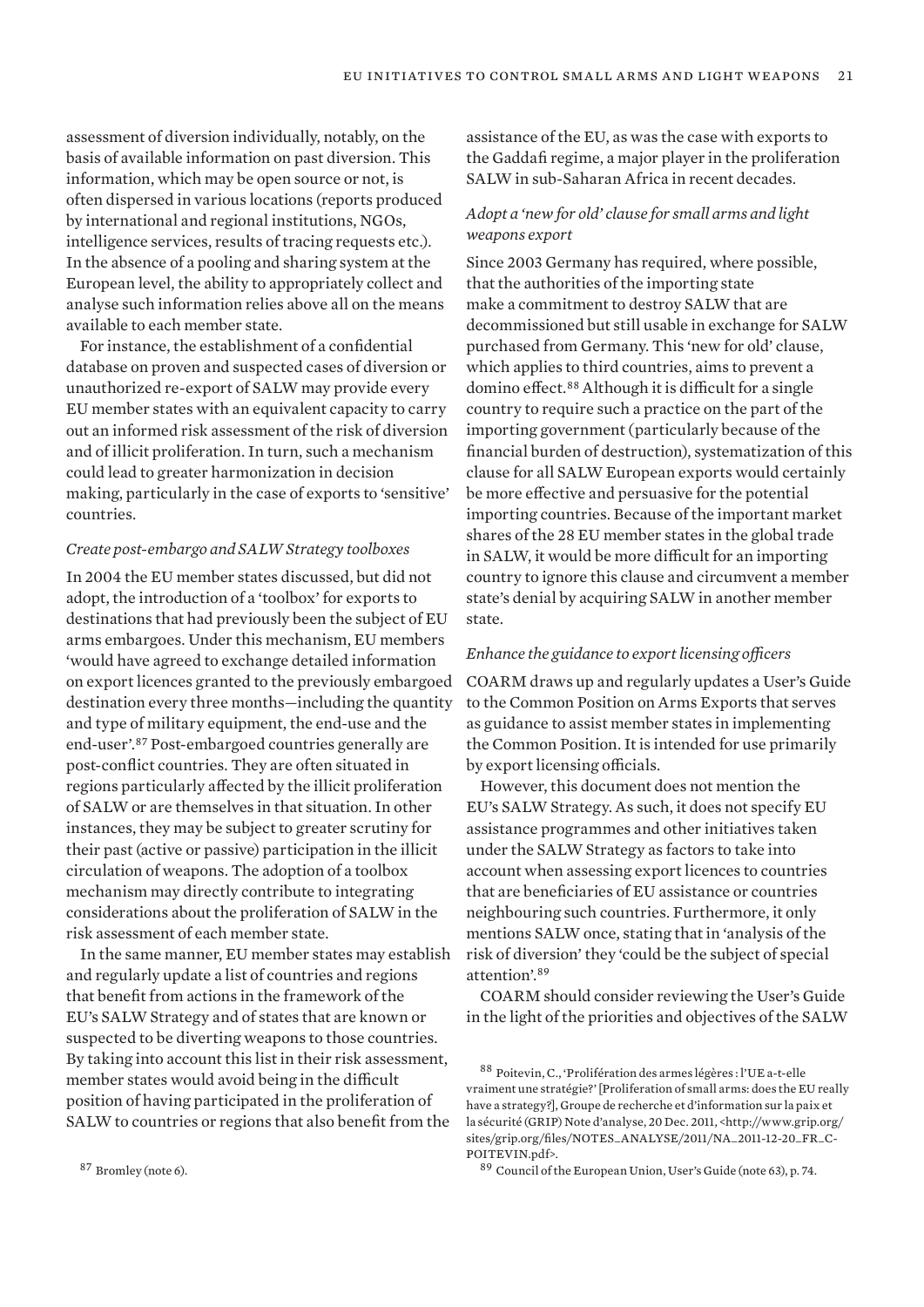assessment of diversion individually, notably, on the basis of available information on past diversion. This information, which may be open source or not, is often dispersed in various locations (reports produced by international and regional institutions, NGOs, intelligence services, results of tracing requests etc.). In the absence of a pooling and sharing system at the European level, the ability to appropriately collect and analyse such information relies above all on the means available to each member state.

For instance, the establishment of a confidential database on proven and suspected cases of diversion or unauthorized re-export of SALW may provide every EU member states with an equivalent capacity to carry out an informed risk assessment of the risk of diversion and of illicit proliferation. In turn, such a mechanism could lead to greater harmonization in decision making, particularly in the case of exports to 'sensitive' countries.

#### *Create post-embargo and SALW Strategy toolboxes*

In 2004 the EU member states discussed, but did not adopt, the introduction of a 'toolbox' for exports to destinations that had previously been the subject of EU arms embargoes. Under this mechanism, EU members 'would have agreed to exchange detailed information on export licences granted to the previously embargoed destination every three months—including the quantity and type of military equipment, the end-use and the end-user'.<sup>87</sup> Post-embargoed countries generally are post-conflict countries. They are often situated in regions particularly affected by the illicit proliferation of SALW or are themselves in that situation. In other instances, they may be subject to greater scrutiny for their past (active or passive) participation in the illicit circulation of weapons. The adoption of a toolbox mechanism may directly contribute to integrating considerations about the proliferation of SALW in the risk assessment of each member state.

In the same manner, EU member states may establish and regularly update a list of countries and regions that benefit from actions in the framework of the EU's SALW Strategy and of states that are known or suspected to be diverting weapons to those countries. By taking into account this list in their risk assessment, member states would avoid being in the difficult position of having participated in the proliferation of SALW to countries or regions that also benefit from the

<sup>87</sup> Bromley (note 6).

assistance of the EU, as was the case with exports to the Gaddafi regime, a major player in the proliferation SALW in sub-Saharan Africa in recent decades.

# *Adopt a 'new for old' clause for small arms and light weapons export*

Since 2003 Germany has required, where possible, that the authorities of the importing state make a commitment to destroy SALW that are decommissioned but still usable in exchange for SALW purchased from Germany. This 'new for old' clause, which applies to third countries, aims to prevent a domino effect.<sup>88</sup> Although it is difficult for a single country to require such a practice on the part of the importing government (particularly because of the financial burden of destruction), systematization of this clause for all SALW European exports would certainly be more effective and persuasive for the potential importing countries. Because of the important market shares of the 28 EU member states in the global trade in SALW, it would be more difficult for an importing country to ignore this clause and circumvent a member state's denial by acquiring SALW in another member state.

#### *Enhance the guidance to export licensing officers*

COARM draws up and regularly updates a User's Guide to the Common Position on Arms Exports that serves as guidance to assist member states in implementing the Common Position. It is intended for use primarily by export licensing officials.

However, this document does not mention the EU's SALW Strategy. As such, it does not specify EU assistance programmes and other initiatives taken under the SALW Strategy as factors to take into account when assessing export licences to countries that are beneficiaries of EU assistance or countries neighbouring such countries. Furthermore, it only mentions SALW once, stating that in 'analysis of the risk of diversion' they 'could be the subject of special attention'.<sup>89</sup>

COARM should consider reviewing the User's Guide in the light of the priorities and objectives of the SALW

<sup>88</sup> Poitevin, C., 'Prolifération des armes légères : l'UE a-t-elle vraiment une stratégie?' [Proliferation of small arms: does the EU really have a strategy?], Groupe de recherche et d'information sur la paix et la sécurité (GRIP) Note d'analyse, 20 Dec. 2011, <http://www.grip.org/ sites/grip.org/files/NOTES\_ANALYSE/2011/NA\_2011-12-20\_FR\_C-POITEVIN.pdf>.

<sup>89</sup> Council of the European Union, User's Guide (note 63), p. 74.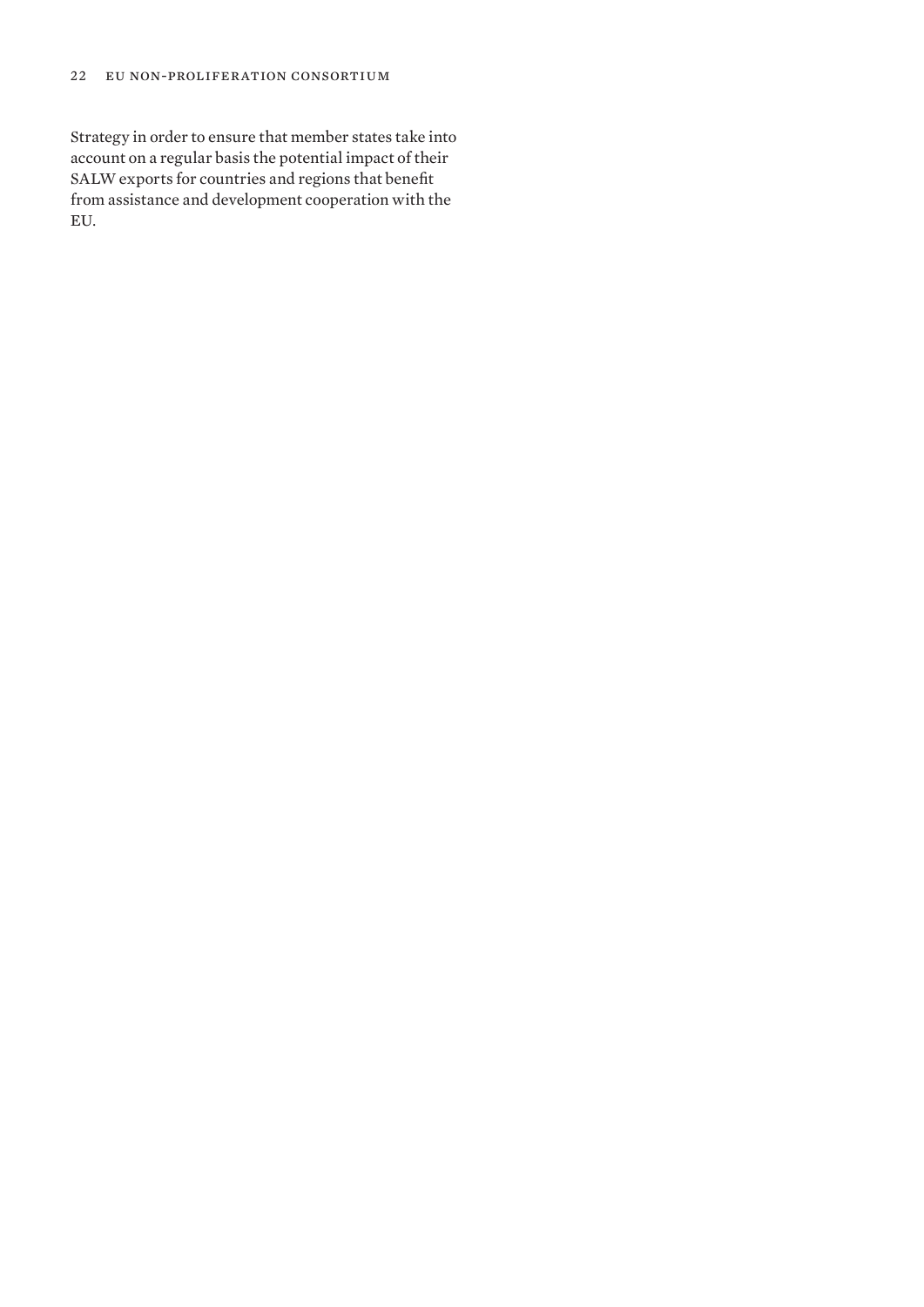Strategy in order to ensure that member states take into account on a regular basis the potential impact of their SALW exports for countries and regions that benefit from assistance and development cooperation with the EU.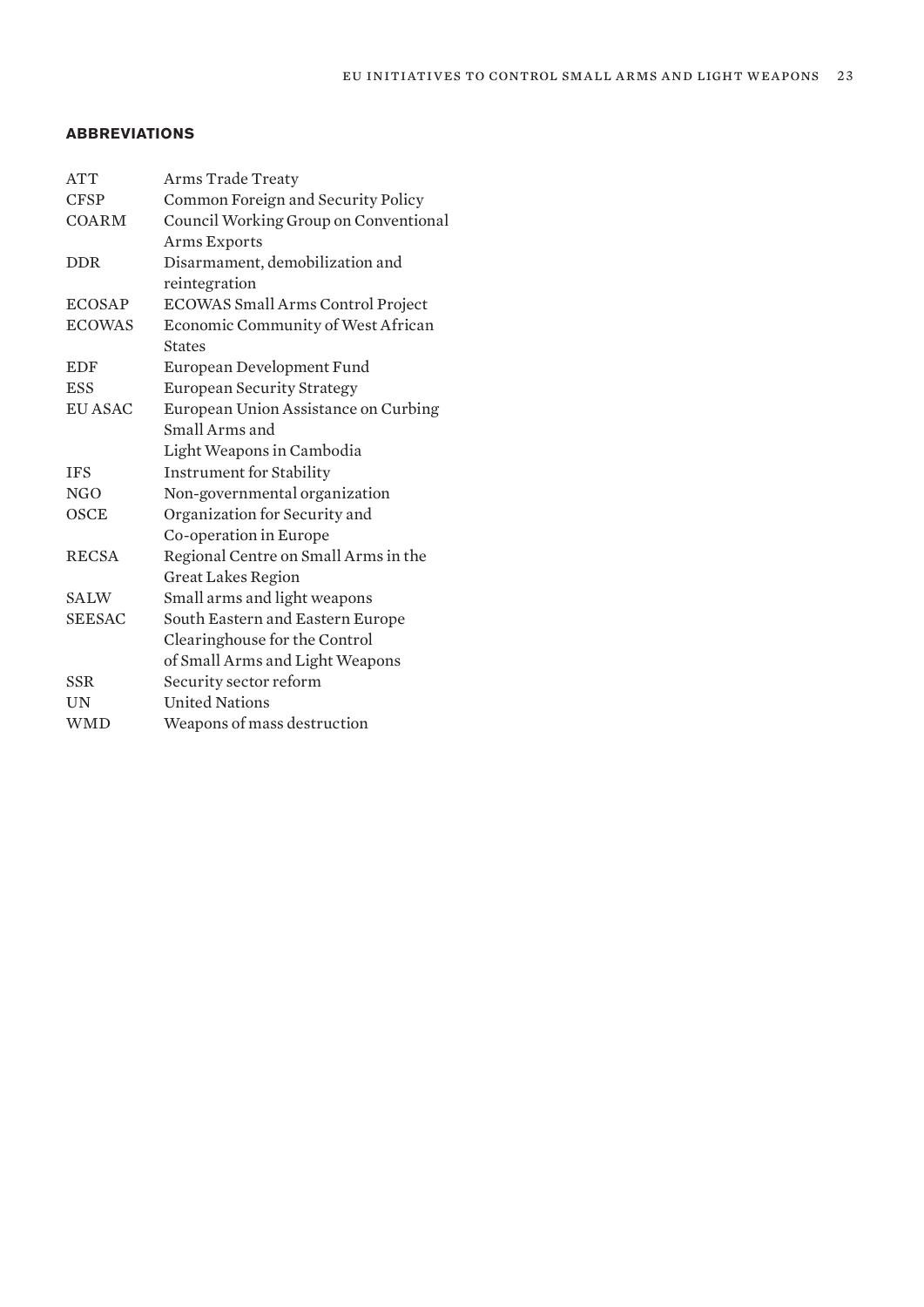# **ABBREVIATIONS**

| <b>ATT</b>     | <b>Arms Trade Treaty</b>                 |
|----------------|------------------------------------------|
| <b>CFSP</b>    | Common Foreign and Security Policy       |
| <b>COARM</b>   | Council Working Group on Conventional    |
|                | Arms Exports                             |
| <b>DDR</b>     | Disarmament, demobilization and          |
|                | reintegration                            |
| <b>ECOSAP</b>  | <b>ECOWAS Small Arms Control Project</b> |
| <b>ECOWAS</b>  | Economic Community of West African       |
|                | <b>States</b>                            |
| <b>EDF</b>     | European Development Fund                |
| <b>ESS</b>     | <b>European Security Strategy</b>        |
| <b>EU ASAC</b> | European Union Assistance on Curbing     |
|                | Small Arms and                           |
|                | Light Weapons in Cambodia                |
| <b>IFS</b>     | <b>Instrument for Stability</b>          |
| NGO            | Non-governmental organization            |
| <b>OSCE</b>    | Organization for Security and            |
|                | Co-operation in Europe                   |
| <b>RECSA</b>   | Regional Centre on Small Arms in the     |
|                | <b>Great Lakes Region</b>                |
| <b>SALW</b>    | Small arms and light weapons             |
| <b>SEESAC</b>  | South Eastern and Eastern Europe         |
|                | Clearinghouse for the Control            |
|                | of Small Arms and Light Weapons          |
| <b>SSR</b>     | Security sector reform                   |
| UN             | <b>United Nations</b>                    |
| <b>WMD</b>     | Weapons of mass destruction              |